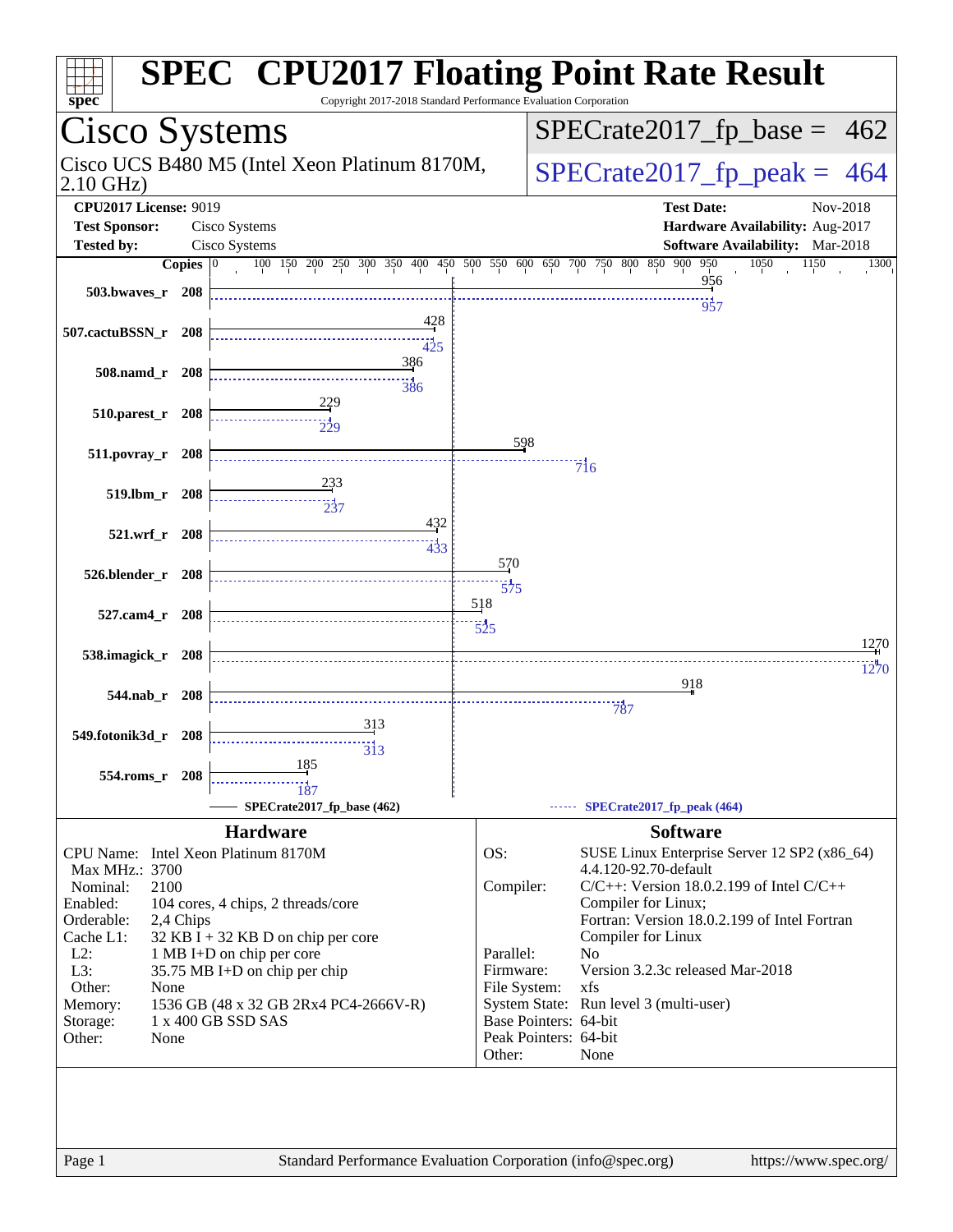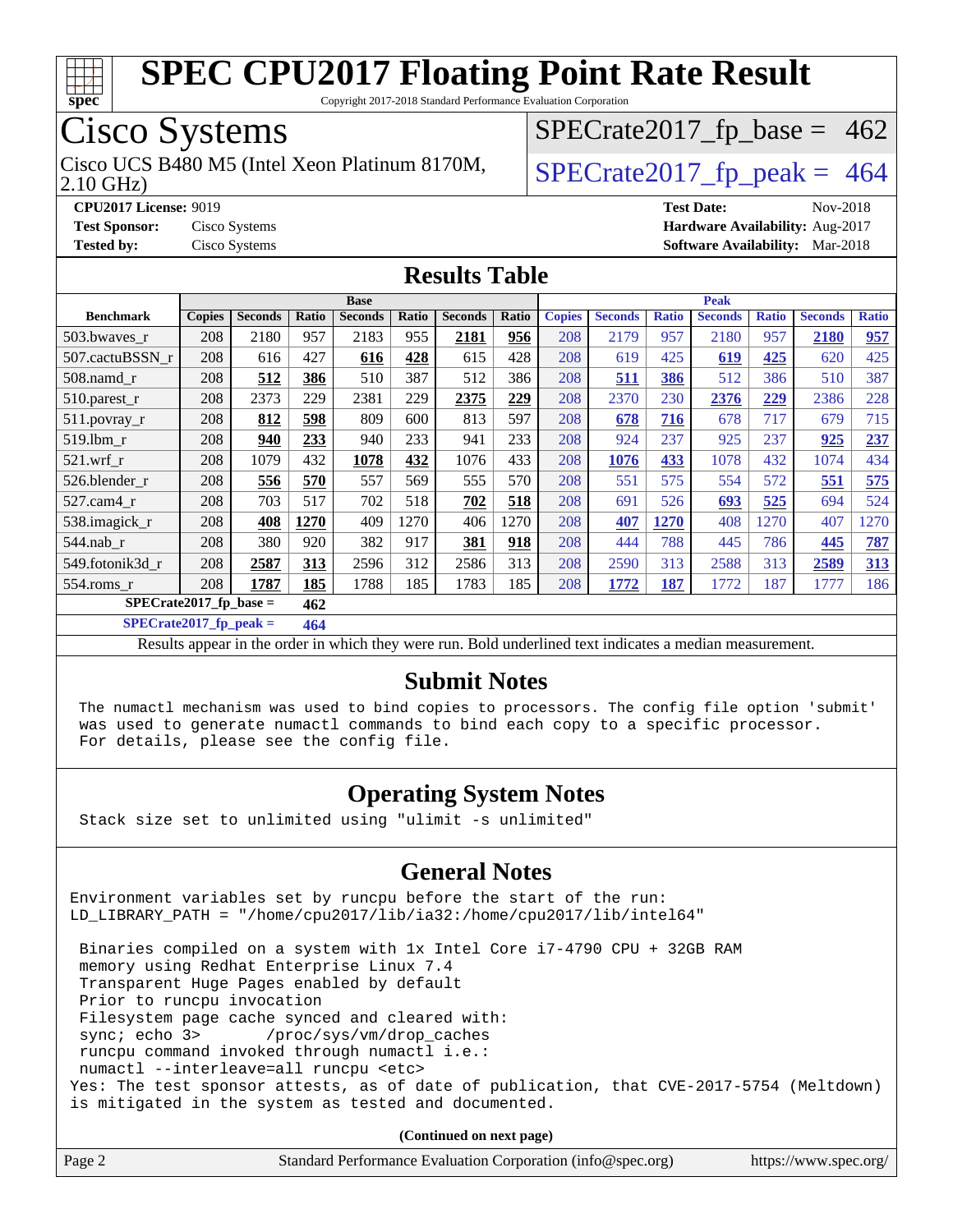

Copyright 2017-2018 Standard Performance Evaluation Corporation

### Cisco Systems

2.10 GHz) Cisco UCS B480 M5 (Intel Xeon Platinum 8170M,  $\big|$  [SPECrate2017\\_fp\\_peak =](http://www.spec.org/auto/cpu2017/Docs/result-fields.html#SPECrate2017fppeak) 464

 $SPECTate2017_fp\_base = 462$ 

**[CPU2017 License:](http://www.spec.org/auto/cpu2017/Docs/result-fields.html#CPU2017License)** 9019 **[Test Date:](http://www.spec.org/auto/cpu2017/Docs/result-fields.html#TestDate)** Nov-2018 **[Test Sponsor:](http://www.spec.org/auto/cpu2017/Docs/result-fields.html#TestSponsor)** Cisco Systems **[Hardware Availability:](http://www.spec.org/auto/cpu2017/Docs/result-fields.html#HardwareAvailability)** Aug-2017 **[Tested by:](http://www.spec.org/auto/cpu2017/Docs/result-fields.html#Testedby)** Cisco Systems **[Software Availability:](http://www.spec.org/auto/cpu2017/Docs/result-fields.html#SoftwareAvailability)** Mar-2018

#### **[Results Table](http://www.spec.org/auto/cpu2017/Docs/result-fields.html#ResultsTable)**

|                  | <b>Base</b>                      |                |       |                | <b>Peak</b> |                |       |               |                |              |                |              |                |              |
|------------------|----------------------------------|----------------|-------|----------------|-------------|----------------|-------|---------------|----------------|--------------|----------------|--------------|----------------|--------------|
| <b>Benchmark</b> | <b>Copies</b>                    | <b>Seconds</b> | Ratio | <b>Seconds</b> | Ratio       | <b>Seconds</b> | Ratio | <b>Copies</b> | <b>Seconds</b> | <b>Ratio</b> | <b>Seconds</b> | <b>Ratio</b> | <b>Seconds</b> | <b>Ratio</b> |
| 503.bwaves_r     | 208                              | 2180           | 957   | 2183           | 955         | 2181           | 956   | 208           | 2179           | 957          | 2180           | 957          | 2180           | 957          |
| 507.cactuBSSN r  | 208                              | 616            | 427   | 616            | 428         | 615            | 428   | 208           | 619            | 425          | 619            | 425          | 620            | 425          |
| $508$ .namd $r$  | 208                              | 512            | 386   | 510            | 387         | 512            | 386   | 208           | 511            | 386          | 512            | 386          | 510            | 387          |
| 510.parest_r     | 208                              | 2373           | 229   | 2381           | 229         | 2375           | 229   | 208           | 2370           | 230          | 2376           | 229          | 2386           | 228          |
| 511.povray_r     | 208                              | 812            | 598   | 809            | 600         | 813            | 597   | 208           | 678            | 716          | 678            | 717          | 679            | 715          |
| 519.1bm r        | 208                              | 940            | 233   | 940            | 233         | 941            | 233   | 208           | 924            | 237          | 925            | 237          | 925            | 237          |
| $521$ .wrf r     | 208                              | 1079           | 432   | 1078           | 432         | 1076           | 433   | 208           | 1076           | 433          | 1078           | 432          | 1074           | 434          |
| 526.blender r    | 208                              | 556            | 570   | 557            | 569         | 555            | 570   | 208           | 551            | 575          | 554            | 572          | 551            | 575          |
| $527.cam4_r$     | 208                              | 703            | 517   | 702            | 518         | 702            | 518   | 208           | 691            | 526          | 693            | 525          | 694            | 524          |
| 538.imagick_r    | 208                              | 408            | 1270  | 409            | 1270        | 406            | 1270  | 208           | 407            | 1270         | 408            | 1270         | 407            | 1270         |
| $544$ .nab r     | 208                              | 380            | 920   | 382            | 917         | 381            | 918   | 208           | 444            | 788          | 445            | 786          | 445            | 787          |
| 549.fotonik3d_r  | 208                              | 2587           | 313   | 2596           | 312         | 2586           | 313   | 208           | 2590           | 313          | 2588           | 313          | 2589           | 313          |
| $554$ .roms $r$  | 208                              | 1787           | 185   | 1788           | 185         | 1783           | 185   | 208           | 1772           | 187          | 1772           | 187          | 1777           | 186          |
|                  | $SPECrate2017_fp\_base =$<br>462 |                |       |                |             |                |       |               |                |              |                |              |                |              |

**[SPECrate2017\\_fp\\_peak =](http://www.spec.org/auto/cpu2017/Docs/result-fields.html#SPECrate2017fppeak) 464**

Results appear in the [order in which they were run](http://www.spec.org/auto/cpu2017/Docs/result-fields.html#RunOrder). Bold underlined text [indicates a median measurement](http://www.spec.org/auto/cpu2017/Docs/result-fields.html#Median).

#### **[Submit Notes](http://www.spec.org/auto/cpu2017/Docs/result-fields.html#SubmitNotes)**

 The numactl mechanism was used to bind copies to processors. The config file option 'submit' was used to generate numactl commands to bind each copy to a specific processor. For details, please see the config file.

#### **[Operating System Notes](http://www.spec.org/auto/cpu2017/Docs/result-fields.html#OperatingSystemNotes)**

Stack size set to unlimited using "ulimit -s unlimited"

#### **[General Notes](http://www.spec.org/auto/cpu2017/Docs/result-fields.html#GeneralNotes)**

Environment variables set by runcpu before the start of the run: LD\_LIBRARY\_PATH = "/home/cpu2017/lib/ia32:/home/cpu2017/lib/intel64"

 Binaries compiled on a system with 1x Intel Core i7-4790 CPU + 32GB RAM memory using Redhat Enterprise Linux 7.4 Transparent Huge Pages enabled by default Prior to runcpu invocation Filesystem page cache synced and cleared with: sync; echo 3> /proc/sys/vm/drop\_caches runcpu command invoked through numactl i.e.: numactl --interleave=all runcpu <etc> Yes: The test sponsor attests, as of date of publication, that CVE-2017-5754 (Meltdown) is mitigated in the system as tested and documented.

**(Continued on next page)**

| Page 2<br>Standard Performance Evaluation Corporation (info@spec.org)<br>https://www.spec.org/ |
|------------------------------------------------------------------------------------------------|
|------------------------------------------------------------------------------------------------|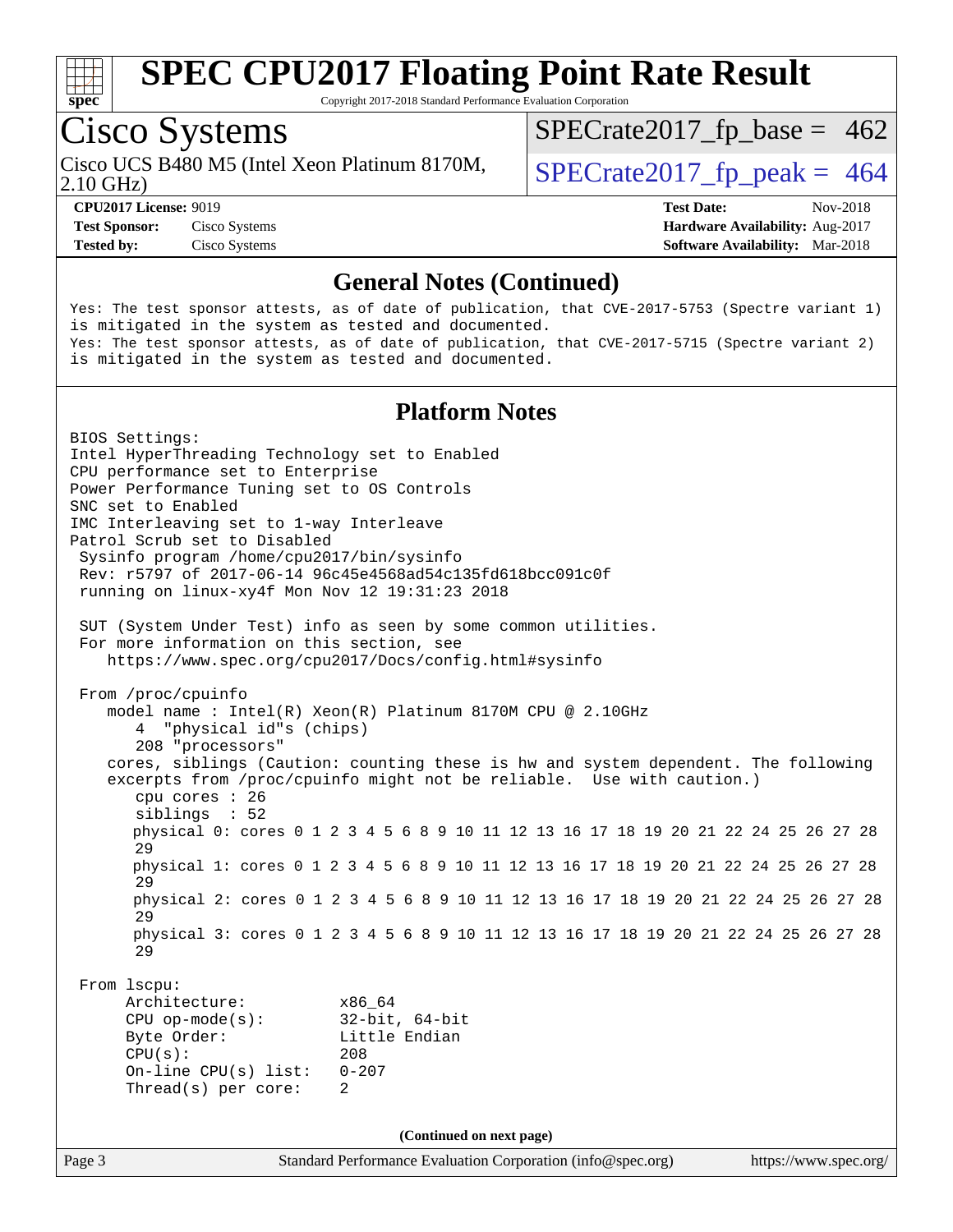

Copyright 2017-2018 Standard Performance Evaluation Corporation

## Cisco Systems

Cisco UCS B480 M5 (Intel Xeon Platinum 8170M,<br>2.10 GHz)

 $SPECTate 2017_fp\_peak = 464$  $SPECTate2017_fp\_base = 462$ 

**[Test Sponsor:](http://www.spec.org/auto/cpu2017/Docs/result-fields.html#TestSponsor)** Cisco Systems **[Hardware Availability:](http://www.spec.org/auto/cpu2017/Docs/result-fields.html#HardwareAvailability)** Aug-2017 **[Tested by:](http://www.spec.org/auto/cpu2017/Docs/result-fields.html#Testedby)** Cisco Systems **[Software Availability:](http://www.spec.org/auto/cpu2017/Docs/result-fields.html#SoftwareAvailability)** Mar-2018

**[CPU2017 License:](http://www.spec.org/auto/cpu2017/Docs/result-fields.html#CPU2017License)** 9019 **[Test Date:](http://www.spec.org/auto/cpu2017/Docs/result-fields.html#TestDate)** Nov-2018

#### **[General Notes \(Continued\)](http://www.spec.org/auto/cpu2017/Docs/result-fields.html#GeneralNotes)**

Yes: The test sponsor attests, as of date of publication, that CVE-2017-5753 (Spectre variant 1) is mitigated in the system as tested and documented. Yes: The test sponsor attests, as of date of publication, that CVE-2017-5715 (Spectre variant 2) is mitigated in the system as tested and documented.

#### **[Platform Notes](http://www.spec.org/auto/cpu2017/Docs/result-fields.html#PlatformNotes)**

Page 3 Standard Performance Evaluation Corporation [\(info@spec.org\)](mailto:info@spec.org) <https://www.spec.org/> BIOS Settings: Intel HyperThreading Technology set to Enabled CPU performance set to Enterprise Power Performance Tuning set to OS Controls SNC set to Enabled IMC Interleaving set to 1-way Interleave Patrol Scrub set to Disabled Sysinfo program /home/cpu2017/bin/sysinfo Rev: r5797 of 2017-06-14 96c45e4568ad54c135fd618bcc091c0f running on linux-xy4f Mon Nov 12 19:31:23 2018 SUT (System Under Test) info as seen by some common utilities. For more information on this section, see <https://www.spec.org/cpu2017/Docs/config.html#sysinfo> From /proc/cpuinfo model name : Intel(R) Xeon(R) Platinum 8170M CPU @ 2.10GHz 4 "physical id"s (chips) 208 "processors" cores, siblings (Caution: counting these is hw and system dependent. The following excerpts from /proc/cpuinfo might not be reliable. Use with caution.) cpu cores : 26 siblings : 52 physical 0: cores 0 1 2 3 4 5 6 8 9 10 11 12 13 16 17 18 19 20 21 22 24 25 26 27 28 29 physical 1: cores 0 1 2 3 4 5 6 8 9 10 11 12 13 16 17 18 19 20 21 22 24 25 26 27 28 29 physical 2: cores 0 1 2 3 4 5 6 8 9 10 11 12 13 16 17 18 19 20 21 22 24 25 26 27 28 29 physical 3: cores 0 1 2 3 4 5 6 8 9 10 11 12 13 16 17 18 19 20 21 22 24 25 26 27 28 29 From lscpu: Architecture: x86\_64 CPU op-mode(s): 32-bit, 64-bit Byte Order: Little Endian CPU(s): 208 On-line CPU(s) list: 0-207 Thread(s) per core: 2 **(Continued on next page)**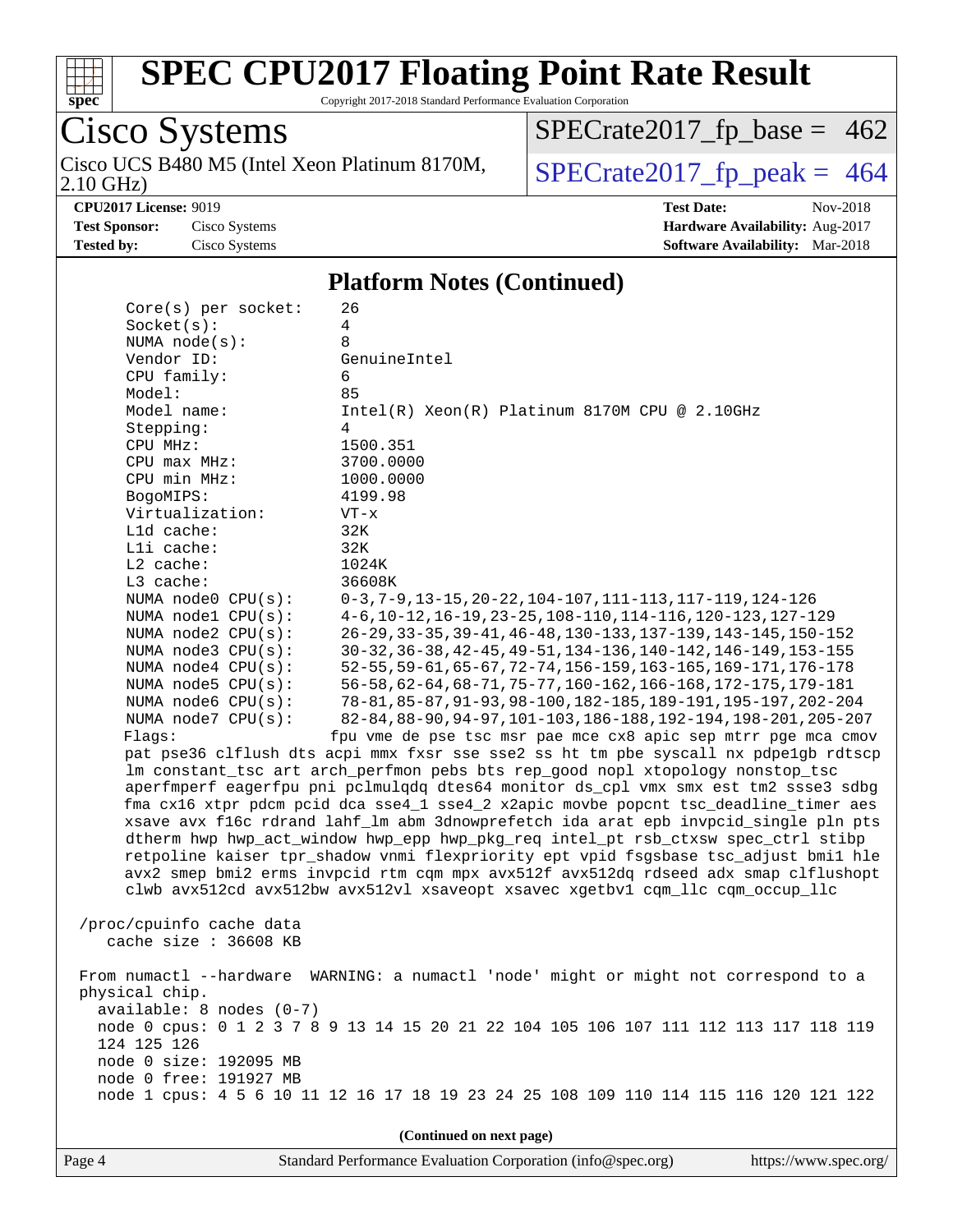

Copyright 2017-2018 Standard Performance Evaluation Corporation

#### Cisco Systems 2.10 GHz) Cisco UCS B480 M5 (Intel Xeon Platinum 8170M,  $SPECrate2017_fp\_peak = 464$

 $SPECTate2017_fp\_base = 462$ 

**[Tested by:](http://www.spec.org/auto/cpu2017/Docs/result-fields.html#Testedby)** Cisco Systems **[Software Availability:](http://www.spec.org/auto/cpu2017/Docs/result-fields.html#SoftwareAvailability)** Mar-2018

**[CPU2017 License:](http://www.spec.org/auto/cpu2017/Docs/result-fields.html#CPU2017License)** 9019 **[Test Date:](http://www.spec.org/auto/cpu2017/Docs/result-fields.html#TestDate)** Nov-2018 **[Test Sponsor:](http://www.spec.org/auto/cpu2017/Docs/result-fields.html#TestSponsor)** Cisco Systems **[Hardware Availability:](http://www.spec.org/auto/cpu2017/Docs/result-fields.html#HardwareAvailability)** Aug-2017

#### **[Platform Notes \(Continued\)](http://www.spec.org/auto/cpu2017/Docs/result-fields.html#PlatformNotes)**

| $Core(s)$ per socket:    | 26                                                                                   |
|--------------------------|--------------------------------------------------------------------------------------|
| Socket(s):               | 4                                                                                    |
| NUMA node(s):            | 8                                                                                    |
| Vendor ID:               | GenuineIntel                                                                         |
| CPU family:              | 6                                                                                    |
| Model:                   | 85                                                                                   |
| Model name:              | Intel(R) Xeon(R) Platinum 8170M CPU @ 2.10GHz                                        |
| Stepping:                | 4                                                                                    |
| CPU MHz:                 | 1500.351                                                                             |
| CPU max MHz:             | 3700.0000                                                                            |
| CPU min MHz:             | 1000.0000                                                                            |
| BogoMIPS:                | 4199.98                                                                              |
| Virtualization:          | $VT - x$                                                                             |
| L1d cache:               | 32K                                                                                  |
| Lli cache:               | 32K                                                                                  |
| $L2$ cache:              | 1024K                                                                                |
| L3 cache:                | 36608K                                                                               |
| NUMA node0 CPU(s):       | $0-3, 7-9, 13-15, 20-22, 104-107, 111-113, 117-119, 124-126$                         |
| NUMA nodel CPU(s):       | 4-6, 10-12, 16-19, 23-25, 108-110, 114-116, 120-123, 127-129                         |
| NUMA $node2$ $CPU(s):$   | 26-29, 33-35, 39-41, 46-48, 130-133, 137-139, 143-145, 150-152                       |
| NUMA node3 CPU(s):       | 30-32, 36-38, 42-45, 49-51, 134-136, 140-142, 146-149, 153-155                       |
| NUMA node4 CPU(s):       | 52-55, 59-61, 65-67, 72-74, 156-159, 163-165, 169-171, 176-178                       |
| NUMA $node5$ CPU $(s)$ : | 56-58, 62-64, 68-71, 75-77, 160-162, 166-168, 172-175, 179-181                       |
| NUMA node6 CPU(s):       | 78-81, 85-87, 91-93, 98-100, 182-185, 189-191, 195-197, 202-204                      |
| NUMA node7 CPU(s):       | 82-84, 88-90, 94-97, 101-103, 186-188, 192-194, 198-201, 205-207                     |
| Flags:                   | fpu vme de pse tsc msr pae mce cx8 apic sep mtrr pge mca cmov                        |
|                          | pat pse36 clflush dts acpi mmx fxsr sse sse2 ss ht tm pbe syscall nx pdpelgb rdtscp  |
|                          | lm constant_tsc art arch_perfmon pebs bts rep_good nopl xtopology nonstop_tsc        |
|                          | aperfmperf eagerfpu pni pclmulqdq dtes64 monitor ds_cpl vmx smx est tm2 ssse3 sdbg   |
|                          | fma cx16 xtpr pdcm pcid dca sse4_1 sse4_2 x2apic movbe popcnt tsc_deadline_timer aes |
|                          | xsave avx f16c rdrand lahf_lm abm 3dnowprefetch ida arat epb invpcid_single pln pts  |
|                          | dtherm hwp hwp_act_window hwp_epp hwp_pkg_req intel_pt rsb_ctxsw spec_ctrl stibp     |
|                          | retpoline kaiser tpr_shadow vnmi flexpriority ept vpid fsgsbase tsc_adjust bmil hle  |
|                          | avx2 smep bmi2 erms invpcid rtm cqm mpx avx512f avx512dq rdseed adx smap clflushopt  |
|                          | clwb avx512cd avx512bw avx512vl xsaveopt xsavec xgetbvl cqm_llc cqm_occup_llc        |
| /proc/cpuinfo cache data |                                                                                      |
| cache size : 36608 KB    |                                                                                      |
|                          |                                                                                      |
|                          | From numactl --hardware WARNING: a numactl 'node' might or might not correspond to a |
| physical chip.           |                                                                                      |
| available: 8 nodes (0-7) |                                                                                      |
|                          | node 0 cpus: 0 1 2 3 7 8 9 13 14 15 20 21 22 104 105 106 107 111 112 113 117 118 119 |
| 124 125 126              |                                                                                      |
| node 0 size: 192095 MB   |                                                                                      |
| node 0 free: 191927 MB   |                                                                                      |
|                          | node 1 cpus: 4 5 6 10 11 12 16 17 18 19 23 24 25 108 109 110 114 115 116 120 121 122 |
|                          |                                                                                      |
|                          | (Continued on next page)                                                             |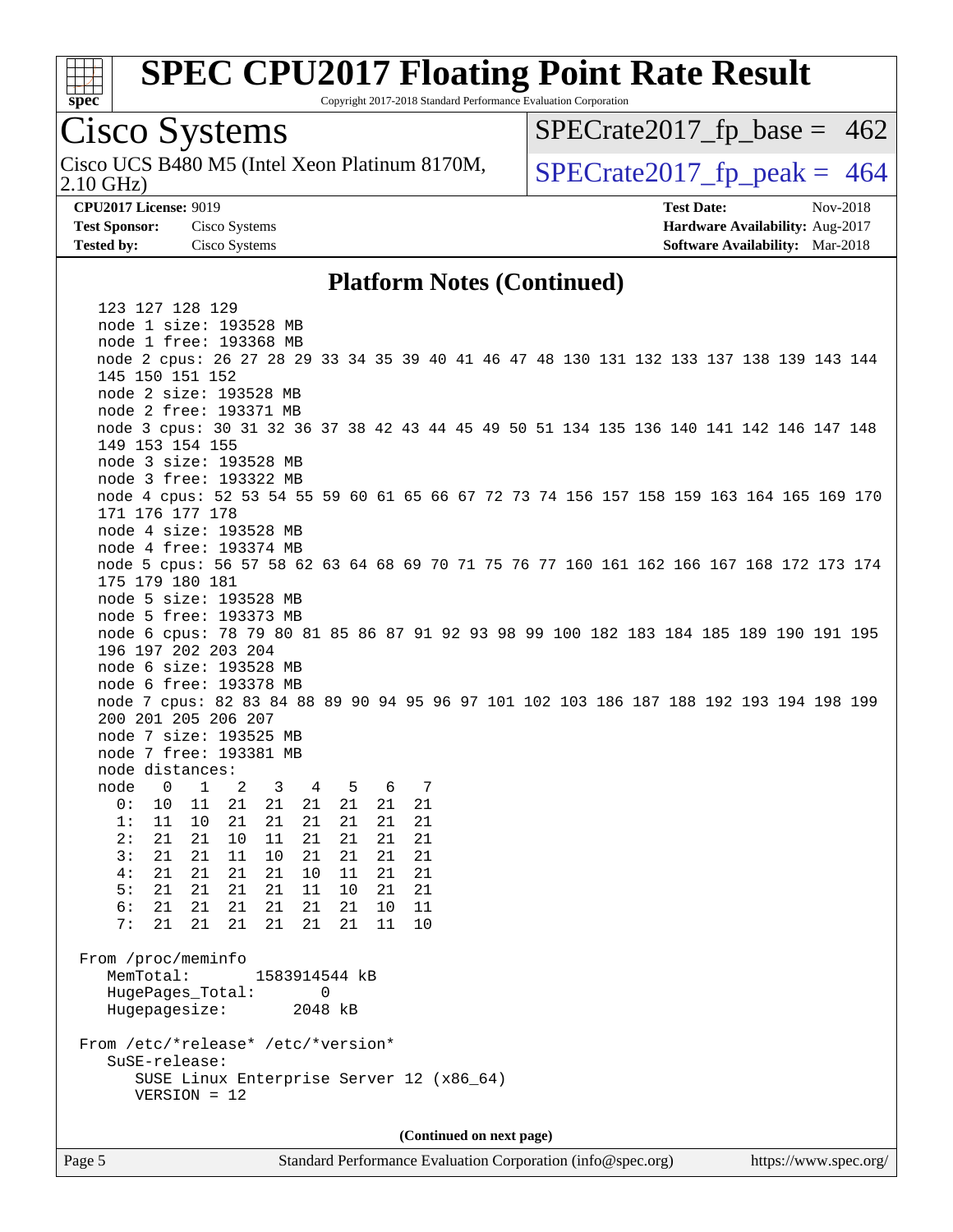

Copyright 2017-2018 Standard Performance Evaluation Corporation

### Cisco Systems

Cisco UCS B480 M5 (Intel Xeon Platinum 8170M,<br>2.10 GHz)

 $SPECTate2017_fp\_base = 462$ 

 $SPECTate 2017_fp\_peak = 464$ 

**[CPU2017 License:](http://www.spec.org/auto/cpu2017/Docs/result-fields.html#CPU2017License)** 9019 **[Test Date:](http://www.spec.org/auto/cpu2017/Docs/result-fields.html#TestDate)** Nov-2018 **[Test Sponsor:](http://www.spec.org/auto/cpu2017/Docs/result-fields.html#TestSponsor)** Cisco Systems **[Hardware Availability:](http://www.spec.org/auto/cpu2017/Docs/result-fields.html#HardwareAvailability)** Aug-2017

#### **[Platform Notes \(Continued\)](http://www.spec.org/auto/cpu2017/Docs/result-fields.html#PlatformNotes)**

**[Tested by:](http://www.spec.org/auto/cpu2017/Docs/result-fields.html#Testedby)** Cisco Systems **[Software Availability:](http://www.spec.org/auto/cpu2017/Docs/result-fields.html#SoftwareAvailability)** Mar-2018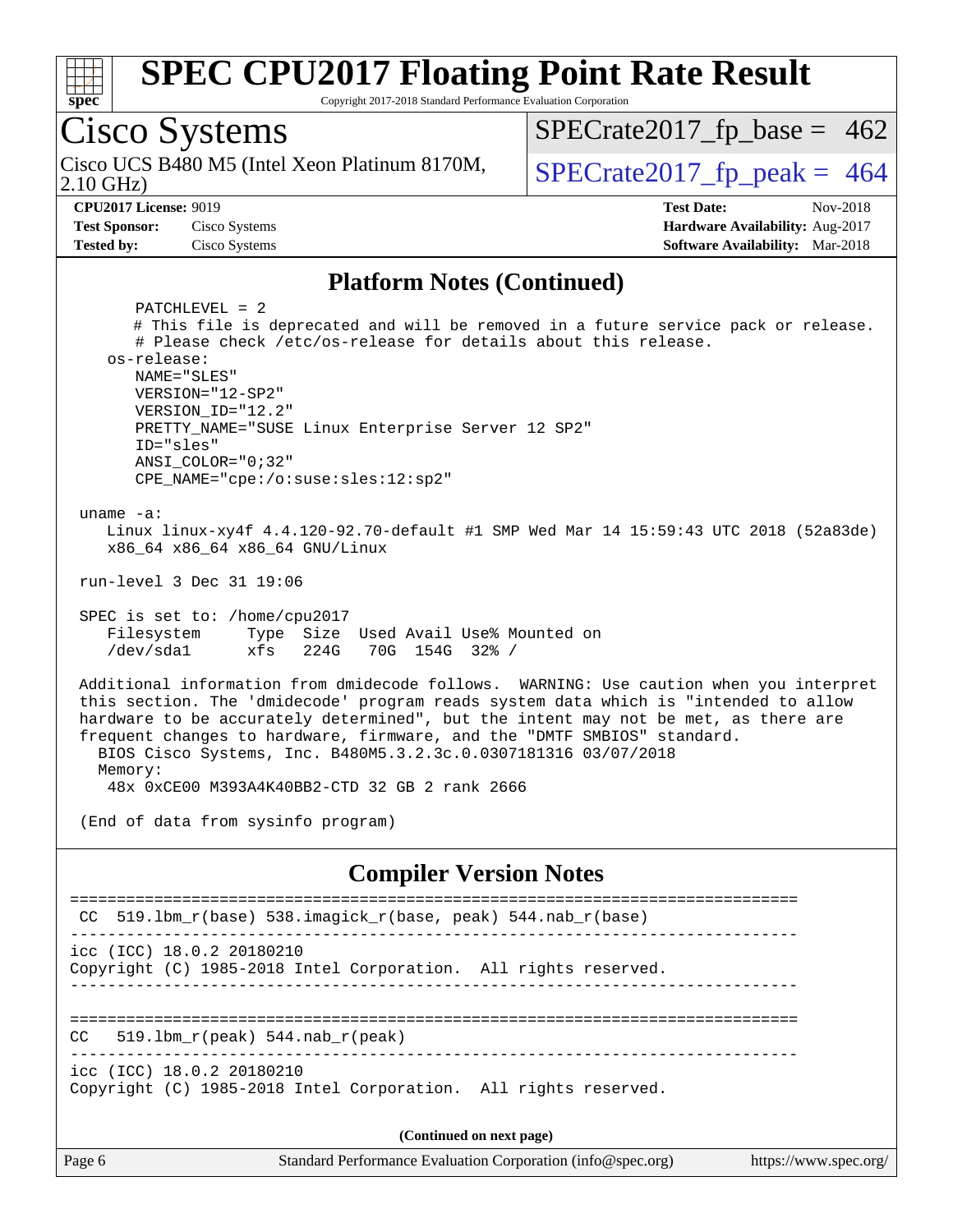

Copyright 2017-2018 Standard Performance Evaluation Corporation

## Cisco Systems

2.10 GHz) Cisco UCS B480 M5 (Intel Xeon Platinum 8170M,  $\big|$  [SPECrate2017\\_fp\\_peak =](http://www.spec.org/auto/cpu2017/Docs/result-fields.html#SPECrate2017fppeak) 464

 $SPECTate2017_fp\_base = 462$ 

**[Test Sponsor:](http://www.spec.org/auto/cpu2017/Docs/result-fields.html#TestSponsor)** Cisco Systems **[Hardware Availability:](http://www.spec.org/auto/cpu2017/Docs/result-fields.html#HardwareAvailability)** Aug-2017 **[Tested by:](http://www.spec.org/auto/cpu2017/Docs/result-fields.html#Testedby)** Cisco Systems **[Software Availability:](http://www.spec.org/auto/cpu2017/Docs/result-fields.html#SoftwareAvailability)** Mar-2018

**[CPU2017 License:](http://www.spec.org/auto/cpu2017/Docs/result-fields.html#CPU2017License)** 9019 **[Test Date:](http://www.spec.org/auto/cpu2017/Docs/result-fields.html#TestDate)** Nov-2018

#### **[Platform Notes \(Continued\)](http://www.spec.org/auto/cpu2017/Docs/result-fields.html#PlatformNotes)**

 PATCHLEVEL = 2 # This file is deprecated and will be removed in a future service pack or release. # Please check /etc/os-release for details about this release. os-release: NAME="SLES" VERSION="12-SP2" VERSION\_ID="12.2" PRETTY\_NAME="SUSE Linux Enterprise Server 12 SP2" ID="sles" ANSI\_COLOR="0;32" CPE\_NAME="cpe:/o:suse:sles:12:sp2" uname -a: Linux linux-xy4f 4.4.120-92.70-default #1 SMP Wed Mar 14 15:59:43 UTC 2018 (52a83de)

x86\_64 x86\_64 x86\_64 GNU/Linux

run-level 3 Dec 31 19:06

 SPEC is set to: /home/cpu2017 Filesystem Type Size Used Avail Use% Mounted on /dev/sda1 xfs 224G 70G 154G 32% /

 Additional information from dmidecode follows. WARNING: Use caution when you interpret this section. The 'dmidecode' program reads system data which is "intended to allow hardware to be accurately determined", but the intent may not be met, as there are frequent changes to hardware, firmware, and the "DMTF SMBIOS" standard. BIOS Cisco Systems, Inc. B480M5.3.2.3c.0.0307181316 03/07/2018 Memory:

48x 0xCE00 M393A4K40BB2-CTD 32 GB 2 rank 2666

(End of data from sysinfo program)

#### **[Compiler Version Notes](http://www.spec.org/auto/cpu2017/Docs/result-fields.html#CompilerVersionNotes)**

| CC 519.1bm r(base) 538.imagick r(base, peak) 544.nab r(base)                                 |  |  |  |  |  |  |  |
|----------------------------------------------------------------------------------------------|--|--|--|--|--|--|--|
| icc (ICC) 18.0.2 20180210<br>Copyright (C) 1985-2018 Intel Corporation. All rights reserved. |  |  |  |  |  |  |  |
| CC<br>519.1bm $r(\text{peak})$ 544.nab $r(\text{peak})$                                      |  |  |  |  |  |  |  |
| icc (ICC) 18.0.2 20180210<br>Copyright (C) 1985-2018 Intel Corporation. All rights reserved. |  |  |  |  |  |  |  |
| (Continued on next page)                                                                     |  |  |  |  |  |  |  |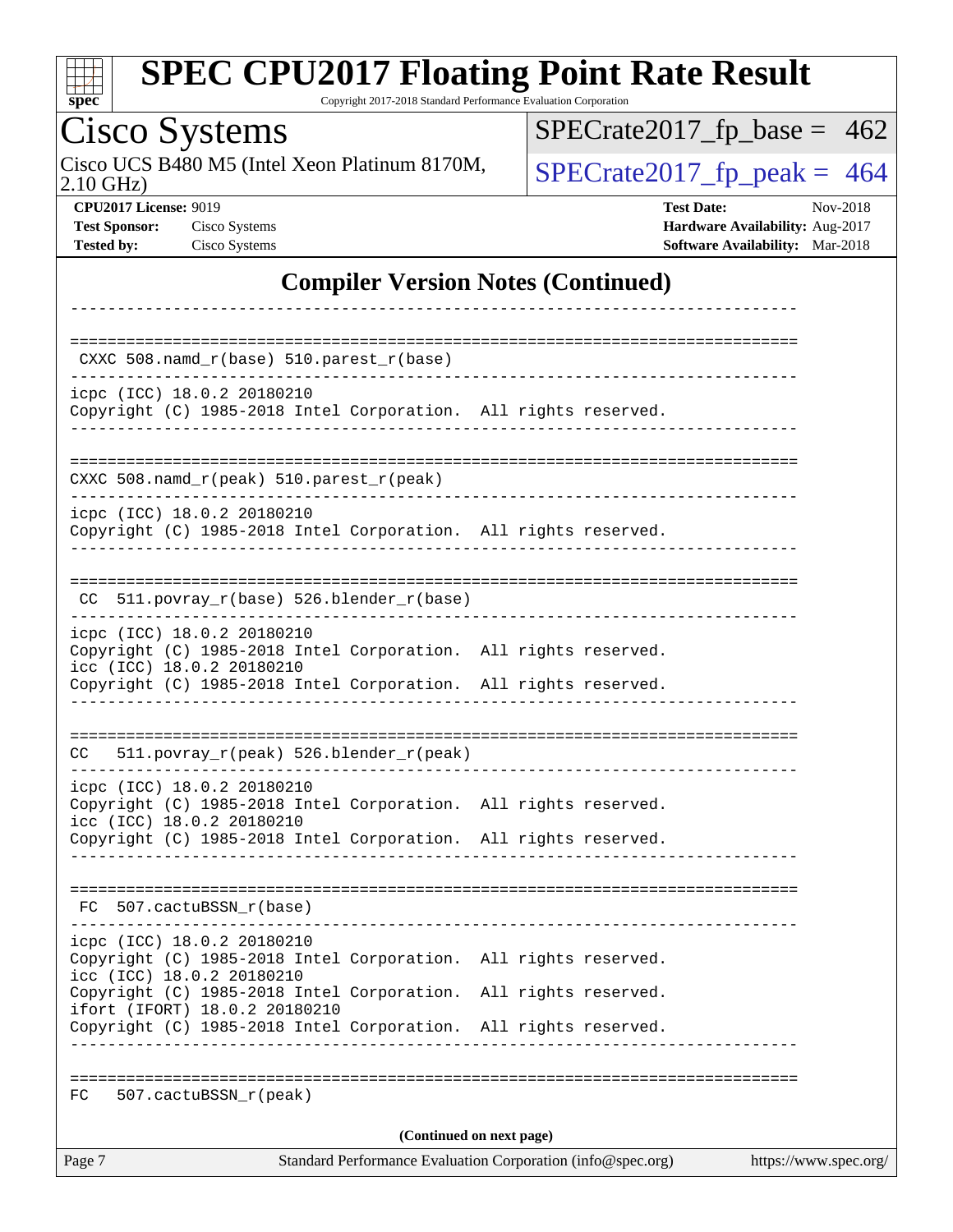| S<br>e<br>0<br>Ľ |  |  |  |  |  |  |
|------------------|--|--|--|--|--|--|

Copyright 2017-2018 Standard Performance Evaluation Corporation

#### Cisco Systems 2.10 GHz) Cisco UCS B480 M5 (Intel Xeon Platinum 8170M,  $SPECrate2017_fp\_peak = 464$ **[CPU2017 License:](http://www.spec.org/auto/cpu2017/Docs/result-fields.html#CPU2017License)** 9019 **[Test Date:](http://www.spec.org/auto/cpu2017/Docs/result-fields.html#TestDate)** Nov-2018 **[Test Sponsor:](http://www.spec.org/auto/cpu2017/Docs/result-fields.html#TestSponsor)** Cisco Systems **Cisco Systems [Hardware Availability:](http://www.spec.org/auto/cpu2017/Docs/result-fields.html#HardwareAvailability)** Aug-2017

 $SPECTate2017_fp\_base = 462$ 

**[Tested by:](http://www.spec.org/auto/cpu2017/Docs/result-fields.html#Testedby)** Cisco Systems **[Software Availability:](http://www.spec.org/auto/cpu2017/Docs/result-fields.html#SoftwareAvailability)** Mar-2018

#### **[Compiler Version Notes \(Continued\)](http://www.spec.org/auto/cpu2017/Docs/result-fields.html#CompilerVersionNotes)**

| Page 7                                                                                                                     |                                        | (Continued on next page)<br>Standard Performance Evaluation Corporation (info@spec.org) |  | https://www.spec.org/ |
|----------------------------------------------------------------------------------------------------------------------------|----------------------------------------|-----------------------------------------------------------------------------------------|--|-----------------------|
| 507.cactuBSSN_r(peak)<br>FC.                                                                                               |                                        |                                                                                         |  |                       |
| Copyright (C) 1985-2018 Intel Corporation. All rights reserved.                                                            |                                        |                                                                                         |  |                       |
| Copyright (C) 1985-2018 Intel Corporation. All rights reserved.<br>ifort (IFORT) 18.0.2 20180210                           |                                        |                                                                                         |  |                       |
| icpc (ICC) 18.0.2 20180210<br>Copyright (C) 1985-2018 Intel Corporation. All rights reserved.<br>icc (ICC) 18.0.2 20180210 |                                        |                                                                                         |  |                       |
| FC 507.cactuBSSN r(base)                                                                                                   |                                        |                                                                                         |  |                       |
| Copyright (C) 1985-2018 Intel Corporation. All rights reserved.                                                            |                                        |                                                                                         |  |                       |
| icpc (ICC) 18.0.2 20180210<br>Copyright (C) 1985-2018 Intel Corporation. All rights reserved.<br>icc (ICC) 18.0.2 20180210 |                                        |                                                                                         |  |                       |
| CC                                                                                                                         | 511.povray_r(peak) 526.blender_r(peak) |                                                                                         |  |                       |
| Copyright (C) 1985-2018 Intel Corporation. All rights reserved.                                                            |                                        |                                                                                         |  |                       |
| icpc (ICC) 18.0.2 20180210<br>Copyright (C) 1985-2018 Intel Corporation. All rights reserved.<br>icc (ICC) 18.0.2 20180210 |                                        |                                                                                         |  |                       |
| CC 511.povray_r(base) 526.blender_r(base)                                                                                  |                                        |                                                                                         |  |                       |
| icpc (ICC) 18.0.2 20180210<br>Copyright (C) 1985-2018 Intel Corporation. All rights reserved.                              |                                        |                                                                                         |  |                       |
| $CXXC 508.namd_r (peak) 510.parest_r (peak)$<br>_____________________                                                      |                                        |                                                                                         |  |                       |
| icpc (ICC) 18.0.2 20180210<br>Copyright (C) 1985-2018 Intel Corporation. All rights reserved.                              |                                        |                                                                                         |  |                       |
|                                                                                                                            |                                        |                                                                                         |  |                       |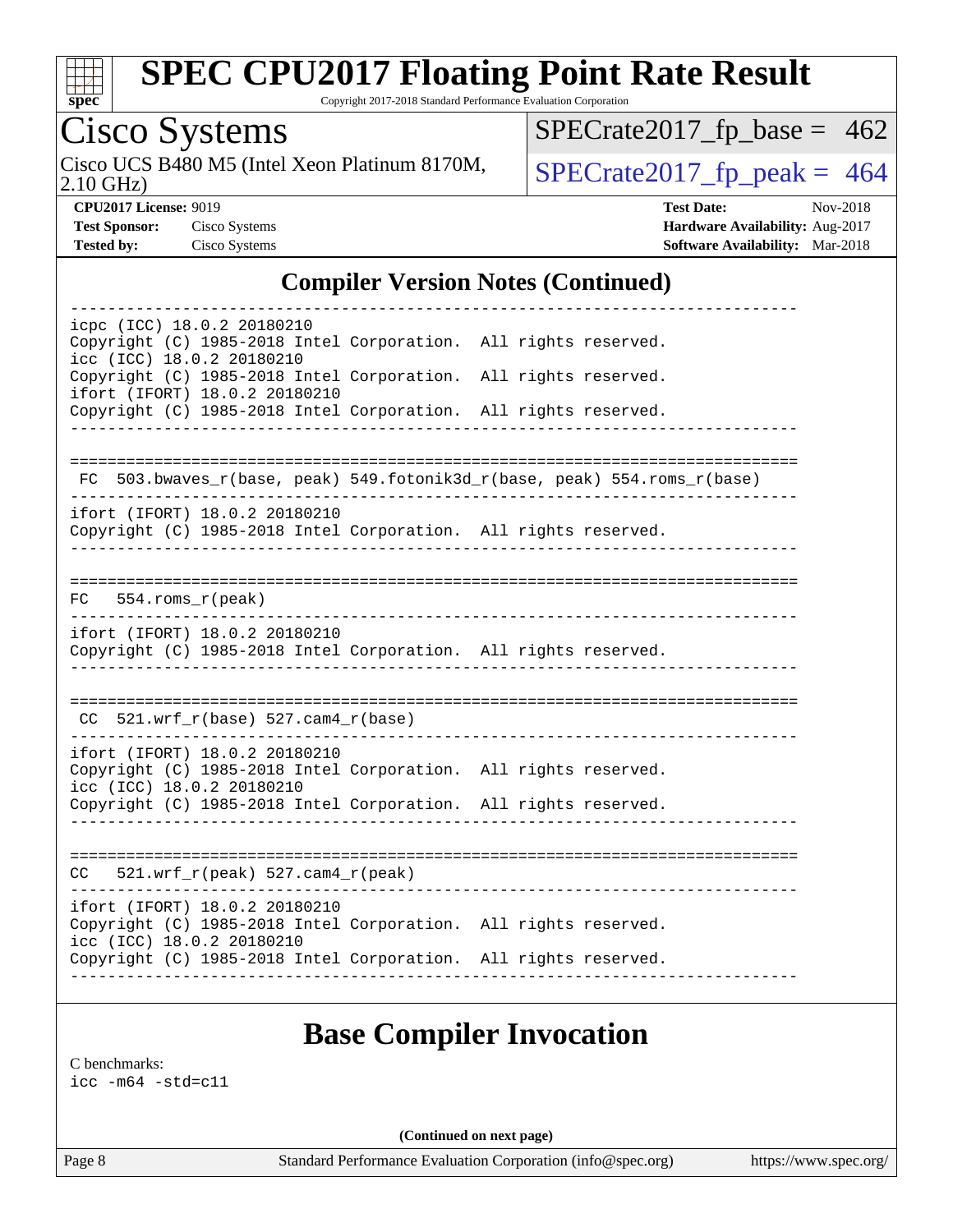

Copyright 2017-2018 Standard Performance Evaluation Corporation

Cisco Systems<br>Cisco UCS B480 M5 (Intel Xeon Platinum 8170M,

 $SPECTate 2017_fp\_peak = 464$  $SPECTate2017_fp\_base = 462$ 

2.10 GHz)

**[Tested by:](http://www.spec.org/auto/cpu2017/Docs/result-fields.html#Testedby)** Cisco Systems **[Software Availability:](http://www.spec.org/auto/cpu2017/Docs/result-fields.html#SoftwareAvailability)** Mar-2018

**[CPU2017 License:](http://www.spec.org/auto/cpu2017/Docs/result-fields.html#CPU2017License)** 9019 **[Test Date:](http://www.spec.org/auto/cpu2017/Docs/result-fields.html#TestDate)** Nov-2018 **[Test Sponsor:](http://www.spec.org/auto/cpu2017/Docs/result-fields.html#TestSponsor)** Cisco Systems **[Hardware Availability:](http://www.spec.org/auto/cpu2017/Docs/result-fields.html#HardwareAvailability)** Aug-2017

#### **[Compiler Version Notes \(Continued\)](http://www.spec.org/auto/cpu2017/Docs/result-fields.html#CompilerVersionNotes)**

|    | icpc (ICC) 18.0.2 20180210<br>Copyright (C) 1985-2018 Intel Corporation. All rights reserved.<br>icc (ICC) 18.0.2 20180210    |  |                                                                          |
|----|-------------------------------------------------------------------------------------------------------------------------------|--|--------------------------------------------------------------------------|
|    | Copyright (C) 1985-2018 Intel Corporation. All rights reserved.<br>ifort (IFORT) 18.0.2 20180210                              |  |                                                                          |
|    | Copyright (C) 1985-2018 Intel Corporation. All rights reserved.                                                               |  |                                                                          |
|    | ================================                                                                                              |  |                                                                          |
|    |                                                                                                                               |  | FC 503.bwaves_r(base, peak) 549.fotonik3d_r(base, peak) 554.roms_r(base) |
|    | ifort (IFORT) 18.0.2 20180210<br>Copyright (C) 1985-2018 Intel Corporation. All rights reserved.                              |  |                                                                          |
| FC | $554.rows_r (peak)$                                                                                                           |  |                                                                          |
|    | ifort (IFORT) 18.0.2 20180210<br>Copyright (C) 1985-2018 Intel Corporation. All rights reserved.                              |  |                                                                          |
|    | $CC$ 521.wrf_r(base) 527.cam4_r(base)                                                                                         |  |                                                                          |
|    | ifort (IFORT) 18.0.2 20180210<br>Copyright (C) 1985-2018 Intel Corporation. All rights reserved.<br>icc (ICC) 18.0.2 20180210 |  |                                                                          |
|    | Copyright (C) 1985-2018 Intel Corporation. All rights reserved.                                                               |  |                                                                          |
|    | $CC = 521.wrf_r(peak) 527.cam4_r(peak)$                                                                                       |  |                                                                          |
|    |                                                                                                                               |  |                                                                          |
|    | ifort (IFORT) 18.0.2 20180210<br>Copyright (C) 1985-2018 Intel Corporation. All rights reserved.<br>icc (ICC) 18.0.2 20180210 |  |                                                                          |
|    | Copyright (C) 1985-2018 Intel Corporation. All rights reserved.                                                               |  |                                                                          |
|    |                                                                                                                               |  |                                                                          |

### **[Base Compiler Invocation](http://www.spec.org/auto/cpu2017/Docs/result-fields.html#BaseCompilerInvocation)**

[C benchmarks](http://www.spec.org/auto/cpu2017/Docs/result-fields.html#Cbenchmarks):

[icc -m64 -std=c11](http://www.spec.org/cpu2017/results/res2018q4/cpu2017-20181127-09973.flags.html#user_CCbase_intel_icc_64bit_c11_33ee0cdaae7deeeab2a9725423ba97205ce30f63b9926c2519791662299b76a0318f32ddfffdc46587804de3178b4f9328c46fa7c2b0cd779d7a61945c91cd35)

**(Continued on next page)**

Page 8 Standard Performance Evaluation Corporation [\(info@spec.org\)](mailto:info@spec.org) <https://www.spec.org/>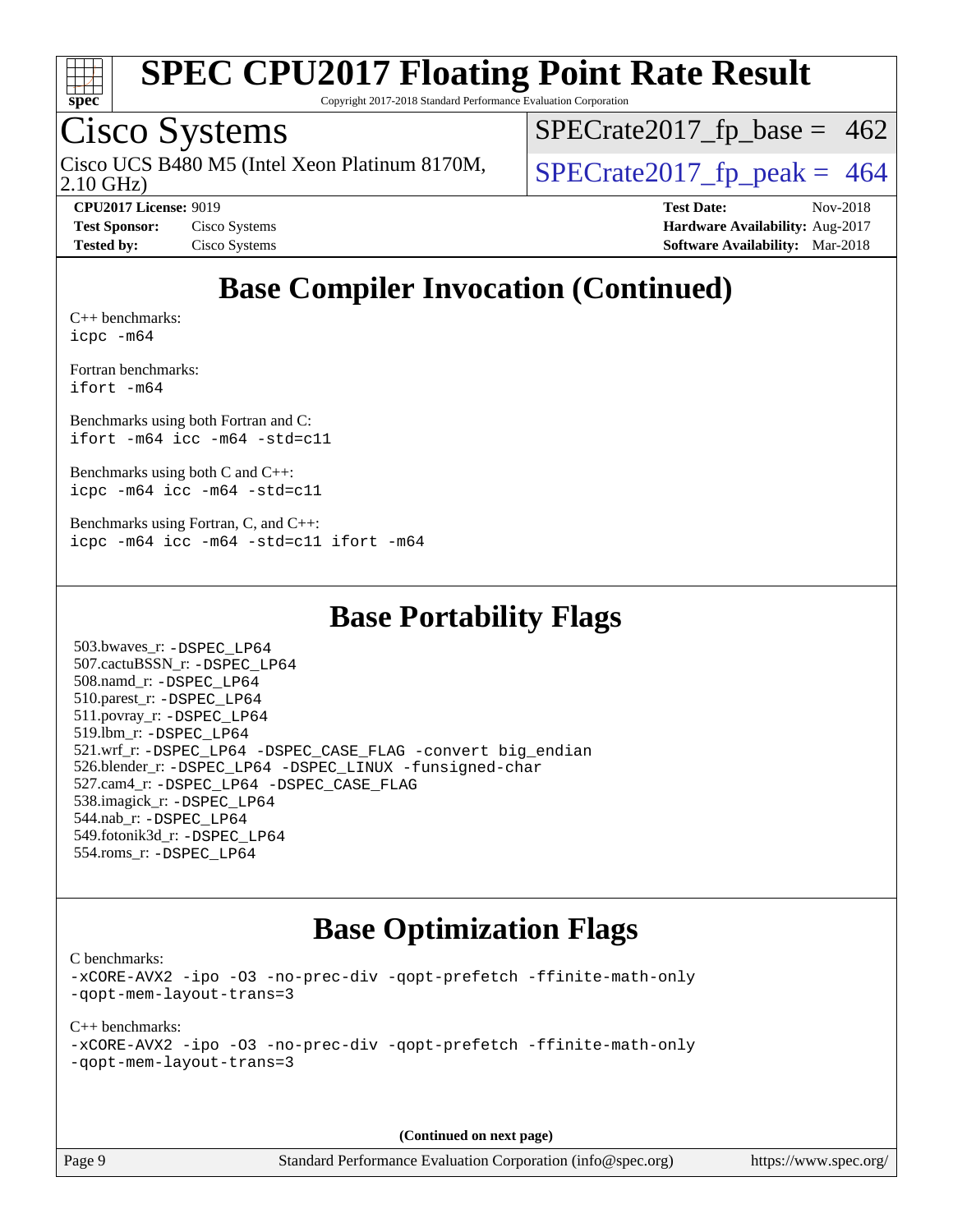

Copyright 2017-2018 Standard Performance Evaluation Corporation

### Cisco Systems

Cisco UCS B480 M5 (Intel Xeon Platinum 8170M,  $\big|$  [SPECrate2017\\_fp\\_peak =](http://www.spec.org/auto/cpu2017/Docs/result-fields.html#SPECrate2017fppeak) 464

 $SPECTate2017_fp\_base = 462$ 

2.10 GHz)

**[CPU2017 License:](http://www.spec.org/auto/cpu2017/Docs/result-fields.html#CPU2017License)** 9019 **[Test Date:](http://www.spec.org/auto/cpu2017/Docs/result-fields.html#TestDate)** Nov-2018 **[Test Sponsor:](http://www.spec.org/auto/cpu2017/Docs/result-fields.html#TestSponsor)** Cisco Systems **Cisco Systems [Hardware Availability:](http://www.spec.org/auto/cpu2017/Docs/result-fields.html#HardwareAvailability)** Aug-2017 **[Tested by:](http://www.spec.org/auto/cpu2017/Docs/result-fields.html#Testedby)** Cisco Systems **[Software Availability:](http://www.spec.org/auto/cpu2017/Docs/result-fields.html#SoftwareAvailability)** Mar-2018

### **[Base Compiler Invocation \(Continued\)](http://www.spec.org/auto/cpu2017/Docs/result-fields.html#BaseCompilerInvocation)**

[C++ benchmarks:](http://www.spec.org/auto/cpu2017/Docs/result-fields.html#CXXbenchmarks) [icpc -m64](http://www.spec.org/cpu2017/results/res2018q4/cpu2017-20181127-09973.flags.html#user_CXXbase_intel_icpc_64bit_4ecb2543ae3f1412ef961e0650ca070fec7b7afdcd6ed48761b84423119d1bf6bdf5cad15b44d48e7256388bc77273b966e5eb805aefd121eb22e9299b2ec9d9)

[Fortran benchmarks](http://www.spec.org/auto/cpu2017/Docs/result-fields.html#Fortranbenchmarks): [ifort -m64](http://www.spec.org/cpu2017/results/res2018q4/cpu2017-20181127-09973.flags.html#user_FCbase_intel_ifort_64bit_24f2bb282fbaeffd6157abe4f878425411749daecae9a33200eee2bee2fe76f3b89351d69a8130dd5949958ce389cf37ff59a95e7a40d588e8d3a57e0c3fd751)

[Benchmarks using both Fortran and C](http://www.spec.org/auto/cpu2017/Docs/result-fields.html#BenchmarksusingbothFortranandC): [ifort -m64](http://www.spec.org/cpu2017/results/res2018q4/cpu2017-20181127-09973.flags.html#user_CC_FCbase_intel_ifort_64bit_24f2bb282fbaeffd6157abe4f878425411749daecae9a33200eee2bee2fe76f3b89351d69a8130dd5949958ce389cf37ff59a95e7a40d588e8d3a57e0c3fd751) [icc -m64 -std=c11](http://www.spec.org/cpu2017/results/res2018q4/cpu2017-20181127-09973.flags.html#user_CC_FCbase_intel_icc_64bit_c11_33ee0cdaae7deeeab2a9725423ba97205ce30f63b9926c2519791662299b76a0318f32ddfffdc46587804de3178b4f9328c46fa7c2b0cd779d7a61945c91cd35)

[Benchmarks using both C and C++](http://www.spec.org/auto/cpu2017/Docs/result-fields.html#BenchmarksusingbothCandCXX): [icpc -m64](http://www.spec.org/cpu2017/results/res2018q4/cpu2017-20181127-09973.flags.html#user_CC_CXXbase_intel_icpc_64bit_4ecb2543ae3f1412ef961e0650ca070fec7b7afdcd6ed48761b84423119d1bf6bdf5cad15b44d48e7256388bc77273b966e5eb805aefd121eb22e9299b2ec9d9) [icc -m64 -std=c11](http://www.spec.org/cpu2017/results/res2018q4/cpu2017-20181127-09973.flags.html#user_CC_CXXbase_intel_icc_64bit_c11_33ee0cdaae7deeeab2a9725423ba97205ce30f63b9926c2519791662299b76a0318f32ddfffdc46587804de3178b4f9328c46fa7c2b0cd779d7a61945c91cd35)

[Benchmarks using Fortran, C, and C++:](http://www.spec.org/auto/cpu2017/Docs/result-fields.html#BenchmarksusingFortranCandCXX) [icpc -m64](http://www.spec.org/cpu2017/results/res2018q4/cpu2017-20181127-09973.flags.html#user_CC_CXX_FCbase_intel_icpc_64bit_4ecb2543ae3f1412ef961e0650ca070fec7b7afdcd6ed48761b84423119d1bf6bdf5cad15b44d48e7256388bc77273b966e5eb805aefd121eb22e9299b2ec9d9) [icc -m64 -std=c11](http://www.spec.org/cpu2017/results/res2018q4/cpu2017-20181127-09973.flags.html#user_CC_CXX_FCbase_intel_icc_64bit_c11_33ee0cdaae7deeeab2a9725423ba97205ce30f63b9926c2519791662299b76a0318f32ddfffdc46587804de3178b4f9328c46fa7c2b0cd779d7a61945c91cd35) [ifort -m64](http://www.spec.org/cpu2017/results/res2018q4/cpu2017-20181127-09973.flags.html#user_CC_CXX_FCbase_intel_ifort_64bit_24f2bb282fbaeffd6157abe4f878425411749daecae9a33200eee2bee2fe76f3b89351d69a8130dd5949958ce389cf37ff59a95e7a40d588e8d3a57e0c3fd751)

### **[Base Portability Flags](http://www.spec.org/auto/cpu2017/Docs/result-fields.html#BasePortabilityFlags)**

 503.bwaves\_r: [-DSPEC\\_LP64](http://www.spec.org/cpu2017/results/res2018q4/cpu2017-20181127-09973.flags.html#suite_basePORTABILITY503_bwaves_r_DSPEC_LP64) 507.cactuBSSN\_r: [-DSPEC\\_LP64](http://www.spec.org/cpu2017/results/res2018q4/cpu2017-20181127-09973.flags.html#suite_basePORTABILITY507_cactuBSSN_r_DSPEC_LP64) 508.namd\_r: [-DSPEC\\_LP64](http://www.spec.org/cpu2017/results/res2018q4/cpu2017-20181127-09973.flags.html#suite_basePORTABILITY508_namd_r_DSPEC_LP64) 510.parest\_r: [-DSPEC\\_LP64](http://www.spec.org/cpu2017/results/res2018q4/cpu2017-20181127-09973.flags.html#suite_basePORTABILITY510_parest_r_DSPEC_LP64) 511.povray\_r: [-DSPEC\\_LP64](http://www.spec.org/cpu2017/results/res2018q4/cpu2017-20181127-09973.flags.html#suite_basePORTABILITY511_povray_r_DSPEC_LP64) 519.lbm\_r: [-DSPEC\\_LP64](http://www.spec.org/cpu2017/results/res2018q4/cpu2017-20181127-09973.flags.html#suite_basePORTABILITY519_lbm_r_DSPEC_LP64) 521.wrf\_r: [-DSPEC\\_LP64](http://www.spec.org/cpu2017/results/res2018q4/cpu2017-20181127-09973.flags.html#suite_basePORTABILITY521_wrf_r_DSPEC_LP64) [-DSPEC\\_CASE\\_FLAG](http://www.spec.org/cpu2017/results/res2018q4/cpu2017-20181127-09973.flags.html#b521.wrf_r_baseCPORTABILITY_DSPEC_CASE_FLAG) [-convert big\\_endian](http://www.spec.org/cpu2017/results/res2018q4/cpu2017-20181127-09973.flags.html#user_baseFPORTABILITY521_wrf_r_convert_big_endian_c3194028bc08c63ac5d04de18c48ce6d347e4e562e8892b8bdbdc0214820426deb8554edfa529a3fb25a586e65a3d812c835984020483e7e73212c4d31a38223) 526.blender\_r: [-DSPEC\\_LP64](http://www.spec.org/cpu2017/results/res2018q4/cpu2017-20181127-09973.flags.html#suite_basePORTABILITY526_blender_r_DSPEC_LP64) [-DSPEC\\_LINUX](http://www.spec.org/cpu2017/results/res2018q4/cpu2017-20181127-09973.flags.html#b526.blender_r_baseCPORTABILITY_DSPEC_LINUX) [-funsigned-char](http://www.spec.org/cpu2017/results/res2018q4/cpu2017-20181127-09973.flags.html#user_baseCPORTABILITY526_blender_r_force_uchar_40c60f00ab013830e2dd6774aeded3ff59883ba5a1fc5fc14077f794d777847726e2a5858cbc7672e36e1b067e7e5c1d9a74f7176df07886a243d7cc18edfe67) 527.cam4\_r: [-DSPEC\\_LP64](http://www.spec.org/cpu2017/results/res2018q4/cpu2017-20181127-09973.flags.html#suite_basePORTABILITY527_cam4_r_DSPEC_LP64) [-DSPEC\\_CASE\\_FLAG](http://www.spec.org/cpu2017/results/res2018q4/cpu2017-20181127-09973.flags.html#b527.cam4_r_baseCPORTABILITY_DSPEC_CASE_FLAG) 538.imagick\_r: [-DSPEC\\_LP64](http://www.spec.org/cpu2017/results/res2018q4/cpu2017-20181127-09973.flags.html#suite_basePORTABILITY538_imagick_r_DSPEC_LP64) 544.nab\_r: [-DSPEC\\_LP64](http://www.spec.org/cpu2017/results/res2018q4/cpu2017-20181127-09973.flags.html#suite_basePORTABILITY544_nab_r_DSPEC_LP64) 549.fotonik3d\_r: [-DSPEC\\_LP64](http://www.spec.org/cpu2017/results/res2018q4/cpu2017-20181127-09973.flags.html#suite_basePORTABILITY549_fotonik3d_r_DSPEC_LP64) 554.roms\_r: [-DSPEC\\_LP64](http://www.spec.org/cpu2017/results/res2018q4/cpu2017-20181127-09973.flags.html#suite_basePORTABILITY554_roms_r_DSPEC_LP64)

### **[Base Optimization Flags](http://www.spec.org/auto/cpu2017/Docs/result-fields.html#BaseOptimizationFlags)**

[C benchmarks](http://www.spec.org/auto/cpu2017/Docs/result-fields.html#Cbenchmarks):

[-xCORE-AVX2](http://www.spec.org/cpu2017/results/res2018q4/cpu2017-20181127-09973.flags.html#user_CCbase_f-xCORE-AVX2) [-ipo](http://www.spec.org/cpu2017/results/res2018q4/cpu2017-20181127-09973.flags.html#user_CCbase_f-ipo) [-O3](http://www.spec.org/cpu2017/results/res2018q4/cpu2017-20181127-09973.flags.html#user_CCbase_f-O3) [-no-prec-div](http://www.spec.org/cpu2017/results/res2018q4/cpu2017-20181127-09973.flags.html#user_CCbase_f-no-prec-div) [-qopt-prefetch](http://www.spec.org/cpu2017/results/res2018q4/cpu2017-20181127-09973.flags.html#user_CCbase_f-qopt-prefetch) [-ffinite-math-only](http://www.spec.org/cpu2017/results/res2018q4/cpu2017-20181127-09973.flags.html#user_CCbase_f_finite_math_only_cb91587bd2077682c4b38af759c288ed7c732db004271a9512da14a4f8007909a5f1427ecbf1a0fb78ff2a814402c6114ac565ca162485bbcae155b5e4258871) [-qopt-mem-layout-trans=3](http://www.spec.org/cpu2017/results/res2018q4/cpu2017-20181127-09973.flags.html#user_CCbase_f-qopt-mem-layout-trans_de80db37974c74b1f0e20d883f0b675c88c3b01e9d123adea9b28688d64333345fb62bc4a798493513fdb68f60282f9a726aa07f478b2f7113531aecce732043)

[C++ benchmarks:](http://www.spec.org/auto/cpu2017/Docs/result-fields.html#CXXbenchmarks) [-xCORE-AVX2](http://www.spec.org/cpu2017/results/res2018q4/cpu2017-20181127-09973.flags.html#user_CXXbase_f-xCORE-AVX2) [-ipo](http://www.spec.org/cpu2017/results/res2018q4/cpu2017-20181127-09973.flags.html#user_CXXbase_f-ipo) [-O3](http://www.spec.org/cpu2017/results/res2018q4/cpu2017-20181127-09973.flags.html#user_CXXbase_f-O3) [-no-prec-div](http://www.spec.org/cpu2017/results/res2018q4/cpu2017-20181127-09973.flags.html#user_CXXbase_f-no-prec-div) [-qopt-prefetch](http://www.spec.org/cpu2017/results/res2018q4/cpu2017-20181127-09973.flags.html#user_CXXbase_f-qopt-prefetch) [-ffinite-math-only](http://www.spec.org/cpu2017/results/res2018q4/cpu2017-20181127-09973.flags.html#user_CXXbase_f_finite_math_only_cb91587bd2077682c4b38af759c288ed7c732db004271a9512da14a4f8007909a5f1427ecbf1a0fb78ff2a814402c6114ac565ca162485bbcae155b5e4258871) [-qopt-mem-layout-trans=3](http://www.spec.org/cpu2017/results/res2018q4/cpu2017-20181127-09973.flags.html#user_CXXbase_f-qopt-mem-layout-trans_de80db37974c74b1f0e20d883f0b675c88c3b01e9d123adea9b28688d64333345fb62bc4a798493513fdb68f60282f9a726aa07f478b2f7113531aecce732043)

**(Continued on next page)**

Page 9 Standard Performance Evaluation Corporation [\(info@spec.org\)](mailto:info@spec.org) <https://www.spec.org/>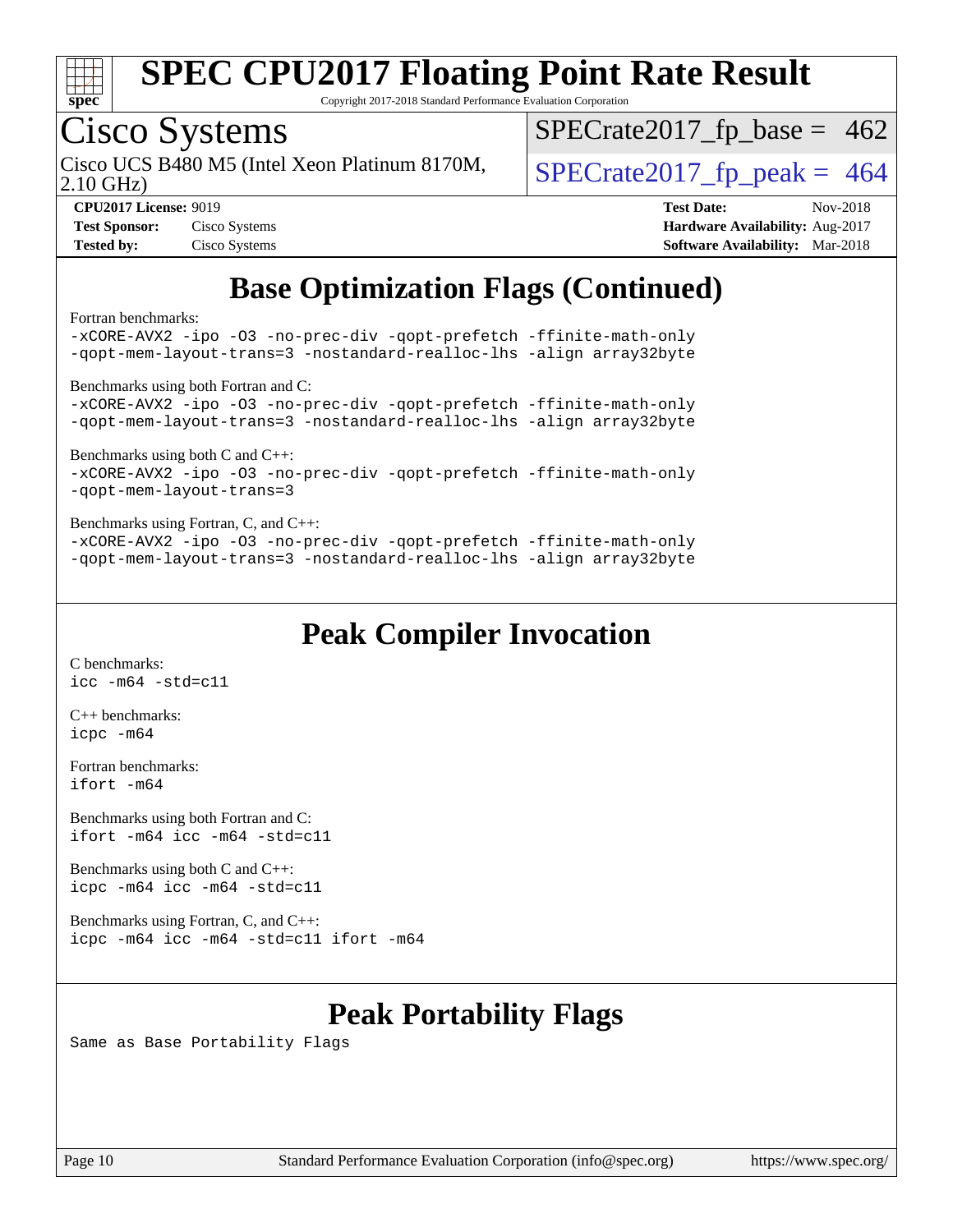

Copyright 2017-2018 Standard Performance Evaluation Corporation

## Cisco Systems

Cisco UCS B480 M5 (Intel Xeon Platinum 8170M,  $\big|$  [SPECrate2017\\_fp\\_peak =](http://www.spec.org/auto/cpu2017/Docs/result-fields.html#SPECrate2017fppeak) 464

 $SPECTate2017_fp\_base = 462$ 

2.10 GHz)

| <b>Test Sponsor:</b> | Cisco Systems |
|----------------------|---------------|
| <b>Tested by:</b>    | Cisco Systems |

**[CPU2017 License:](http://www.spec.org/auto/cpu2017/Docs/result-fields.html#CPU2017License)** 9019 **[Test Date:](http://www.spec.org/auto/cpu2017/Docs/result-fields.html#TestDate)** Nov-2018 **[Hardware Availability:](http://www.spec.org/auto/cpu2017/Docs/result-fields.html#HardwareAvailability)** Aug-2017 **[Software Availability:](http://www.spec.org/auto/cpu2017/Docs/result-fields.html#SoftwareAvailability)** Mar-2018

### **[Base Optimization Flags \(Continued\)](http://www.spec.org/auto/cpu2017/Docs/result-fields.html#BaseOptimizationFlags)**

[Fortran benchmarks](http://www.spec.org/auto/cpu2017/Docs/result-fields.html#Fortranbenchmarks):

[-xCORE-AVX2](http://www.spec.org/cpu2017/results/res2018q4/cpu2017-20181127-09973.flags.html#user_FCbase_f-xCORE-AVX2) [-ipo](http://www.spec.org/cpu2017/results/res2018q4/cpu2017-20181127-09973.flags.html#user_FCbase_f-ipo) [-O3](http://www.spec.org/cpu2017/results/res2018q4/cpu2017-20181127-09973.flags.html#user_FCbase_f-O3) [-no-prec-div](http://www.spec.org/cpu2017/results/res2018q4/cpu2017-20181127-09973.flags.html#user_FCbase_f-no-prec-div) [-qopt-prefetch](http://www.spec.org/cpu2017/results/res2018q4/cpu2017-20181127-09973.flags.html#user_FCbase_f-qopt-prefetch) [-ffinite-math-only](http://www.spec.org/cpu2017/results/res2018q4/cpu2017-20181127-09973.flags.html#user_FCbase_f_finite_math_only_cb91587bd2077682c4b38af759c288ed7c732db004271a9512da14a4f8007909a5f1427ecbf1a0fb78ff2a814402c6114ac565ca162485bbcae155b5e4258871) [-qopt-mem-layout-trans=3](http://www.spec.org/cpu2017/results/res2018q4/cpu2017-20181127-09973.flags.html#user_FCbase_f-qopt-mem-layout-trans_de80db37974c74b1f0e20d883f0b675c88c3b01e9d123adea9b28688d64333345fb62bc4a798493513fdb68f60282f9a726aa07f478b2f7113531aecce732043) [-nostandard-realloc-lhs](http://www.spec.org/cpu2017/results/res2018q4/cpu2017-20181127-09973.flags.html#user_FCbase_f_2003_std_realloc_82b4557e90729c0f113870c07e44d33d6f5a304b4f63d4c15d2d0f1fab99f5daaed73bdb9275d9ae411527f28b936061aa8b9c8f2d63842963b95c9dd6426b8a) [-align array32byte](http://www.spec.org/cpu2017/results/res2018q4/cpu2017-20181127-09973.flags.html#user_FCbase_align_array32byte_b982fe038af199962ba9a80c053b8342c548c85b40b8e86eb3cc33dee0d7986a4af373ac2d51c3f7cf710a18d62fdce2948f201cd044323541f22fc0fffc51b6) [Benchmarks using both Fortran and C](http://www.spec.org/auto/cpu2017/Docs/result-fields.html#BenchmarksusingbothFortranandC): [-xCORE-AVX2](http://www.spec.org/cpu2017/results/res2018q4/cpu2017-20181127-09973.flags.html#user_CC_FCbase_f-xCORE-AVX2) [-ipo](http://www.spec.org/cpu2017/results/res2018q4/cpu2017-20181127-09973.flags.html#user_CC_FCbase_f-ipo) [-O3](http://www.spec.org/cpu2017/results/res2018q4/cpu2017-20181127-09973.flags.html#user_CC_FCbase_f-O3) [-no-prec-div](http://www.spec.org/cpu2017/results/res2018q4/cpu2017-20181127-09973.flags.html#user_CC_FCbase_f-no-prec-div) [-qopt-prefetch](http://www.spec.org/cpu2017/results/res2018q4/cpu2017-20181127-09973.flags.html#user_CC_FCbase_f-qopt-prefetch) [-ffinite-math-only](http://www.spec.org/cpu2017/results/res2018q4/cpu2017-20181127-09973.flags.html#user_CC_FCbase_f_finite_math_only_cb91587bd2077682c4b38af759c288ed7c732db004271a9512da14a4f8007909a5f1427ecbf1a0fb78ff2a814402c6114ac565ca162485bbcae155b5e4258871) [-qopt-mem-layout-trans=3](http://www.spec.org/cpu2017/results/res2018q4/cpu2017-20181127-09973.flags.html#user_CC_FCbase_f-qopt-mem-layout-trans_de80db37974c74b1f0e20d883f0b675c88c3b01e9d123adea9b28688d64333345fb62bc4a798493513fdb68f60282f9a726aa07f478b2f7113531aecce732043) [-nostandard-realloc-lhs](http://www.spec.org/cpu2017/results/res2018q4/cpu2017-20181127-09973.flags.html#user_CC_FCbase_f_2003_std_realloc_82b4557e90729c0f113870c07e44d33d6f5a304b4f63d4c15d2d0f1fab99f5daaed73bdb9275d9ae411527f28b936061aa8b9c8f2d63842963b95c9dd6426b8a) [-align array32byte](http://www.spec.org/cpu2017/results/res2018q4/cpu2017-20181127-09973.flags.html#user_CC_FCbase_align_array32byte_b982fe038af199962ba9a80c053b8342c548c85b40b8e86eb3cc33dee0d7986a4af373ac2d51c3f7cf710a18d62fdce2948f201cd044323541f22fc0fffc51b6) [Benchmarks using both C and C++](http://www.spec.org/auto/cpu2017/Docs/result-fields.html#BenchmarksusingbothCandCXX): [-xCORE-AVX2](http://www.spec.org/cpu2017/results/res2018q4/cpu2017-20181127-09973.flags.html#user_CC_CXXbase_f-xCORE-AVX2) [-ipo](http://www.spec.org/cpu2017/results/res2018q4/cpu2017-20181127-09973.flags.html#user_CC_CXXbase_f-ipo) [-O3](http://www.spec.org/cpu2017/results/res2018q4/cpu2017-20181127-09973.flags.html#user_CC_CXXbase_f-O3) [-no-prec-div](http://www.spec.org/cpu2017/results/res2018q4/cpu2017-20181127-09973.flags.html#user_CC_CXXbase_f-no-prec-div) [-qopt-prefetch](http://www.spec.org/cpu2017/results/res2018q4/cpu2017-20181127-09973.flags.html#user_CC_CXXbase_f-qopt-prefetch) [-ffinite-math-only](http://www.spec.org/cpu2017/results/res2018q4/cpu2017-20181127-09973.flags.html#user_CC_CXXbase_f_finite_math_only_cb91587bd2077682c4b38af759c288ed7c732db004271a9512da14a4f8007909a5f1427ecbf1a0fb78ff2a814402c6114ac565ca162485bbcae155b5e4258871) [-qopt-mem-layout-trans=3](http://www.spec.org/cpu2017/results/res2018q4/cpu2017-20181127-09973.flags.html#user_CC_CXXbase_f-qopt-mem-layout-trans_de80db37974c74b1f0e20d883f0b675c88c3b01e9d123adea9b28688d64333345fb62bc4a798493513fdb68f60282f9a726aa07f478b2f7113531aecce732043) [Benchmarks using Fortran, C, and C++:](http://www.spec.org/auto/cpu2017/Docs/result-fields.html#BenchmarksusingFortranCandCXX) [-xCORE-AVX2](http://www.spec.org/cpu2017/results/res2018q4/cpu2017-20181127-09973.flags.html#user_CC_CXX_FCbase_f-xCORE-AVX2) [-ipo](http://www.spec.org/cpu2017/results/res2018q4/cpu2017-20181127-09973.flags.html#user_CC_CXX_FCbase_f-ipo) [-O3](http://www.spec.org/cpu2017/results/res2018q4/cpu2017-20181127-09973.flags.html#user_CC_CXX_FCbase_f-O3) [-no-prec-div](http://www.spec.org/cpu2017/results/res2018q4/cpu2017-20181127-09973.flags.html#user_CC_CXX_FCbase_f-no-prec-div) [-qopt-prefetch](http://www.spec.org/cpu2017/results/res2018q4/cpu2017-20181127-09973.flags.html#user_CC_CXX_FCbase_f-qopt-prefetch) [-ffinite-math-only](http://www.spec.org/cpu2017/results/res2018q4/cpu2017-20181127-09973.flags.html#user_CC_CXX_FCbase_f_finite_math_only_cb91587bd2077682c4b38af759c288ed7c732db004271a9512da14a4f8007909a5f1427ecbf1a0fb78ff2a814402c6114ac565ca162485bbcae155b5e4258871) [-qopt-mem-layout-trans=3](http://www.spec.org/cpu2017/results/res2018q4/cpu2017-20181127-09973.flags.html#user_CC_CXX_FCbase_f-qopt-mem-layout-trans_de80db37974c74b1f0e20d883f0b675c88c3b01e9d123adea9b28688d64333345fb62bc4a798493513fdb68f60282f9a726aa07f478b2f7113531aecce732043) [-nostandard-realloc-lhs](http://www.spec.org/cpu2017/results/res2018q4/cpu2017-20181127-09973.flags.html#user_CC_CXX_FCbase_f_2003_std_realloc_82b4557e90729c0f113870c07e44d33d6f5a304b4f63d4c15d2d0f1fab99f5daaed73bdb9275d9ae411527f28b936061aa8b9c8f2d63842963b95c9dd6426b8a) [-align array32byte](http://www.spec.org/cpu2017/results/res2018q4/cpu2017-20181127-09973.flags.html#user_CC_CXX_FCbase_align_array32byte_b982fe038af199962ba9a80c053b8342c548c85b40b8e86eb3cc33dee0d7986a4af373ac2d51c3f7cf710a18d62fdce2948f201cd044323541f22fc0fffc51b6)

### **[Peak Compiler Invocation](http://www.spec.org/auto/cpu2017/Docs/result-fields.html#PeakCompilerInvocation)**

[C benchmarks](http://www.spec.org/auto/cpu2017/Docs/result-fields.html#Cbenchmarks): [icc -m64 -std=c11](http://www.spec.org/cpu2017/results/res2018q4/cpu2017-20181127-09973.flags.html#user_CCpeak_intel_icc_64bit_c11_33ee0cdaae7deeeab2a9725423ba97205ce30f63b9926c2519791662299b76a0318f32ddfffdc46587804de3178b4f9328c46fa7c2b0cd779d7a61945c91cd35)

[C++ benchmarks:](http://www.spec.org/auto/cpu2017/Docs/result-fields.html#CXXbenchmarks) [icpc -m64](http://www.spec.org/cpu2017/results/res2018q4/cpu2017-20181127-09973.flags.html#user_CXXpeak_intel_icpc_64bit_4ecb2543ae3f1412ef961e0650ca070fec7b7afdcd6ed48761b84423119d1bf6bdf5cad15b44d48e7256388bc77273b966e5eb805aefd121eb22e9299b2ec9d9)

[Fortran benchmarks](http://www.spec.org/auto/cpu2017/Docs/result-fields.html#Fortranbenchmarks): [ifort -m64](http://www.spec.org/cpu2017/results/res2018q4/cpu2017-20181127-09973.flags.html#user_FCpeak_intel_ifort_64bit_24f2bb282fbaeffd6157abe4f878425411749daecae9a33200eee2bee2fe76f3b89351d69a8130dd5949958ce389cf37ff59a95e7a40d588e8d3a57e0c3fd751)

[Benchmarks using both Fortran and C](http://www.spec.org/auto/cpu2017/Docs/result-fields.html#BenchmarksusingbothFortranandC): [ifort -m64](http://www.spec.org/cpu2017/results/res2018q4/cpu2017-20181127-09973.flags.html#user_CC_FCpeak_intel_ifort_64bit_24f2bb282fbaeffd6157abe4f878425411749daecae9a33200eee2bee2fe76f3b89351d69a8130dd5949958ce389cf37ff59a95e7a40d588e8d3a57e0c3fd751) [icc -m64 -std=c11](http://www.spec.org/cpu2017/results/res2018q4/cpu2017-20181127-09973.flags.html#user_CC_FCpeak_intel_icc_64bit_c11_33ee0cdaae7deeeab2a9725423ba97205ce30f63b9926c2519791662299b76a0318f32ddfffdc46587804de3178b4f9328c46fa7c2b0cd779d7a61945c91cd35)

[Benchmarks using both C and C++](http://www.spec.org/auto/cpu2017/Docs/result-fields.html#BenchmarksusingbothCandCXX): [icpc -m64](http://www.spec.org/cpu2017/results/res2018q4/cpu2017-20181127-09973.flags.html#user_CC_CXXpeak_intel_icpc_64bit_4ecb2543ae3f1412ef961e0650ca070fec7b7afdcd6ed48761b84423119d1bf6bdf5cad15b44d48e7256388bc77273b966e5eb805aefd121eb22e9299b2ec9d9) [icc -m64 -std=c11](http://www.spec.org/cpu2017/results/res2018q4/cpu2017-20181127-09973.flags.html#user_CC_CXXpeak_intel_icc_64bit_c11_33ee0cdaae7deeeab2a9725423ba97205ce30f63b9926c2519791662299b76a0318f32ddfffdc46587804de3178b4f9328c46fa7c2b0cd779d7a61945c91cd35)

[Benchmarks using Fortran, C, and C++:](http://www.spec.org/auto/cpu2017/Docs/result-fields.html#BenchmarksusingFortranCandCXX) [icpc -m64](http://www.spec.org/cpu2017/results/res2018q4/cpu2017-20181127-09973.flags.html#user_CC_CXX_FCpeak_intel_icpc_64bit_4ecb2543ae3f1412ef961e0650ca070fec7b7afdcd6ed48761b84423119d1bf6bdf5cad15b44d48e7256388bc77273b966e5eb805aefd121eb22e9299b2ec9d9) [icc -m64 -std=c11](http://www.spec.org/cpu2017/results/res2018q4/cpu2017-20181127-09973.flags.html#user_CC_CXX_FCpeak_intel_icc_64bit_c11_33ee0cdaae7deeeab2a9725423ba97205ce30f63b9926c2519791662299b76a0318f32ddfffdc46587804de3178b4f9328c46fa7c2b0cd779d7a61945c91cd35) [ifort -m64](http://www.spec.org/cpu2017/results/res2018q4/cpu2017-20181127-09973.flags.html#user_CC_CXX_FCpeak_intel_ifort_64bit_24f2bb282fbaeffd6157abe4f878425411749daecae9a33200eee2bee2fe76f3b89351d69a8130dd5949958ce389cf37ff59a95e7a40d588e8d3a57e0c3fd751)

### **[Peak Portability Flags](http://www.spec.org/auto/cpu2017/Docs/result-fields.html#PeakPortabilityFlags)**

Same as Base Portability Flags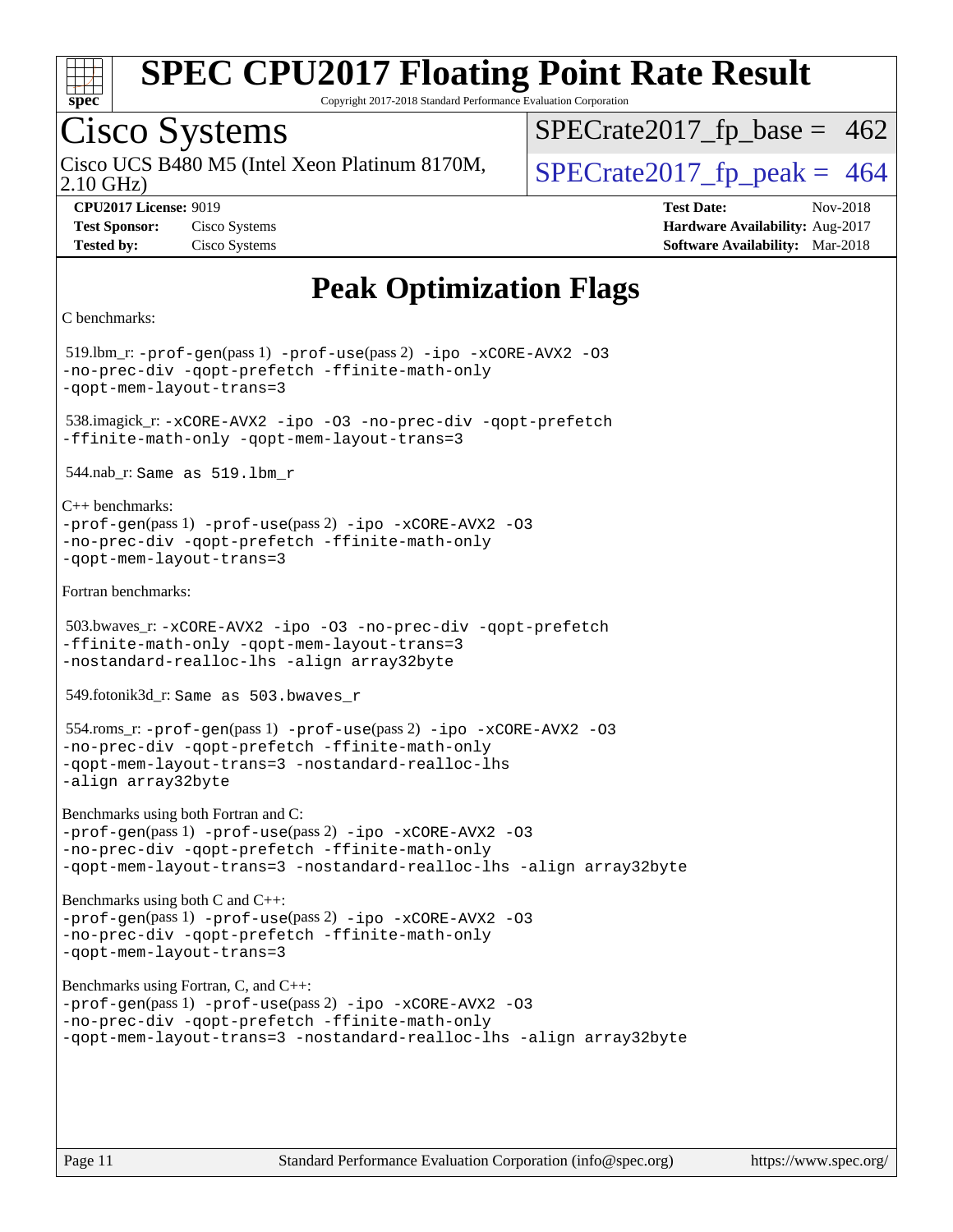

Copyright 2017-2018 Standard Performance Evaluation Corporation

### Cisco Systems

Cisco UCS B480 M5 (Intel Xeon Platinum 8170M,  $\big|$  [SPECrate2017\\_fp\\_peak =](http://www.spec.org/auto/cpu2017/Docs/result-fields.html#SPECrate2017fppeak) 464

 $SPECTate2017_fp\_base = 462$ 

2.10 GHz)

**[Tested by:](http://www.spec.org/auto/cpu2017/Docs/result-fields.html#Testedby)** Cisco Systems **[Software Availability:](http://www.spec.org/auto/cpu2017/Docs/result-fields.html#SoftwareAvailability)** Mar-2018

**[CPU2017 License:](http://www.spec.org/auto/cpu2017/Docs/result-fields.html#CPU2017License)** 9019 **[Test Date:](http://www.spec.org/auto/cpu2017/Docs/result-fields.html#TestDate)** Nov-2018 **[Test Sponsor:](http://www.spec.org/auto/cpu2017/Docs/result-fields.html#TestSponsor)** Cisco Systems **[Hardware Availability:](http://www.spec.org/auto/cpu2017/Docs/result-fields.html#HardwareAvailability)** Aug-2017

### **[Peak Optimization Flags](http://www.spec.org/auto/cpu2017/Docs/result-fields.html#PeakOptimizationFlags)**

```
C benchmarks:
```
 519.lbm\_r: [-prof-gen](http://www.spec.org/cpu2017/results/res2018q4/cpu2017-20181127-09973.flags.html#user_peakPASS1_CFLAGSPASS1_LDFLAGS519_lbm_r_prof_gen_5aa4926d6013ddb2a31985c654b3eb18169fc0c6952a63635c234f711e6e63dd76e94ad52365559451ec499a2cdb89e4dc58ba4c67ef54ca681ffbe1461d6b36)(pass 1) [-prof-use](http://www.spec.org/cpu2017/results/res2018q4/cpu2017-20181127-09973.flags.html#user_peakPASS2_CFLAGSPASS2_LDFLAGS519_lbm_r_prof_use_1a21ceae95f36a2b53c25747139a6c16ca95bd9def2a207b4f0849963b97e94f5260e30a0c64f4bb623698870e679ca08317ef8150905d41bd88c6f78df73f19)(pass 2) [-ipo](http://www.spec.org/cpu2017/results/res2018q4/cpu2017-20181127-09973.flags.html#user_peakPASS1_COPTIMIZEPASS2_COPTIMIZE519_lbm_r_f-ipo) [-xCORE-AVX2](http://www.spec.org/cpu2017/results/res2018q4/cpu2017-20181127-09973.flags.html#user_peakPASS2_COPTIMIZE519_lbm_r_f-xCORE-AVX2) [-O3](http://www.spec.org/cpu2017/results/res2018q4/cpu2017-20181127-09973.flags.html#user_peakPASS1_COPTIMIZEPASS2_COPTIMIZE519_lbm_r_f-O3) [-no-prec-div](http://www.spec.org/cpu2017/results/res2018q4/cpu2017-20181127-09973.flags.html#user_peakPASS1_COPTIMIZEPASS2_COPTIMIZE519_lbm_r_f-no-prec-div) [-qopt-prefetch](http://www.spec.org/cpu2017/results/res2018q4/cpu2017-20181127-09973.flags.html#user_peakPASS1_COPTIMIZEPASS2_COPTIMIZE519_lbm_r_f-qopt-prefetch) [-ffinite-math-only](http://www.spec.org/cpu2017/results/res2018q4/cpu2017-20181127-09973.flags.html#user_peakPASS1_COPTIMIZEPASS2_COPTIMIZE519_lbm_r_f_finite_math_only_cb91587bd2077682c4b38af759c288ed7c732db004271a9512da14a4f8007909a5f1427ecbf1a0fb78ff2a814402c6114ac565ca162485bbcae155b5e4258871) [-qopt-mem-layout-trans=3](http://www.spec.org/cpu2017/results/res2018q4/cpu2017-20181127-09973.flags.html#user_peakPASS1_COPTIMIZEPASS2_COPTIMIZE519_lbm_r_f-qopt-mem-layout-trans_de80db37974c74b1f0e20d883f0b675c88c3b01e9d123adea9b28688d64333345fb62bc4a798493513fdb68f60282f9a726aa07f478b2f7113531aecce732043) 538.imagick\_r: [-xCORE-AVX2](http://www.spec.org/cpu2017/results/res2018q4/cpu2017-20181127-09973.flags.html#user_peakCOPTIMIZE538_imagick_r_f-xCORE-AVX2) [-ipo](http://www.spec.org/cpu2017/results/res2018q4/cpu2017-20181127-09973.flags.html#user_peakCOPTIMIZE538_imagick_r_f-ipo) [-O3](http://www.spec.org/cpu2017/results/res2018q4/cpu2017-20181127-09973.flags.html#user_peakCOPTIMIZE538_imagick_r_f-O3) [-no-prec-div](http://www.spec.org/cpu2017/results/res2018q4/cpu2017-20181127-09973.flags.html#user_peakCOPTIMIZE538_imagick_r_f-no-prec-div) [-qopt-prefetch](http://www.spec.org/cpu2017/results/res2018q4/cpu2017-20181127-09973.flags.html#user_peakCOPTIMIZE538_imagick_r_f-qopt-prefetch) [-ffinite-math-only](http://www.spec.org/cpu2017/results/res2018q4/cpu2017-20181127-09973.flags.html#user_peakCOPTIMIZE538_imagick_r_f_finite_math_only_cb91587bd2077682c4b38af759c288ed7c732db004271a9512da14a4f8007909a5f1427ecbf1a0fb78ff2a814402c6114ac565ca162485bbcae155b5e4258871) [-qopt-mem-layout-trans=3](http://www.spec.org/cpu2017/results/res2018q4/cpu2017-20181127-09973.flags.html#user_peakCOPTIMIZE538_imagick_r_f-qopt-mem-layout-trans_de80db37974c74b1f0e20d883f0b675c88c3b01e9d123adea9b28688d64333345fb62bc4a798493513fdb68f60282f9a726aa07f478b2f7113531aecce732043) 544.nab\_r: Same as 519.lbm\_r [C++ benchmarks:](http://www.spec.org/auto/cpu2017/Docs/result-fields.html#CXXbenchmarks) [-prof-gen](http://www.spec.org/cpu2017/results/res2018q4/cpu2017-20181127-09973.flags.html#user_CXXpeak_prof_gen_5aa4926d6013ddb2a31985c654b3eb18169fc0c6952a63635c234f711e6e63dd76e94ad52365559451ec499a2cdb89e4dc58ba4c67ef54ca681ffbe1461d6b36)(pass 1) [-prof-use](http://www.spec.org/cpu2017/results/res2018q4/cpu2017-20181127-09973.flags.html#user_CXXpeak_prof_use_1a21ceae95f36a2b53c25747139a6c16ca95bd9def2a207b4f0849963b97e94f5260e30a0c64f4bb623698870e679ca08317ef8150905d41bd88c6f78df73f19)(pass 2) [-ipo](http://www.spec.org/cpu2017/results/res2018q4/cpu2017-20181127-09973.flags.html#user_CXXpeak_f-ipo) [-xCORE-AVX2](http://www.spec.org/cpu2017/results/res2018q4/cpu2017-20181127-09973.flags.html#user_CXXpeak_f-xCORE-AVX2) [-O3](http://www.spec.org/cpu2017/results/res2018q4/cpu2017-20181127-09973.flags.html#user_CXXpeak_f-O3) [-no-prec-div](http://www.spec.org/cpu2017/results/res2018q4/cpu2017-20181127-09973.flags.html#user_CXXpeak_f-no-prec-div) [-qopt-prefetch](http://www.spec.org/cpu2017/results/res2018q4/cpu2017-20181127-09973.flags.html#user_CXXpeak_f-qopt-prefetch) [-ffinite-math-only](http://www.spec.org/cpu2017/results/res2018q4/cpu2017-20181127-09973.flags.html#user_CXXpeak_f_finite_math_only_cb91587bd2077682c4b38af759c288ed7c732db004271a9512da14a4f8007909a5f1427ecbf1a0fb78ff2a814402c6114ac565ca162485bbcae155b5e4258871) [-qopt-mem-layout-trans=3](http://www.spec.org/cpu2017/results/res2018q4/cpu2017-20181127-09973.flags.html#user_CXXpeak_f-qopt-mem-layout-trans_de80db37974c74b1f0e20d883f0b675c88c3b01e9d123adea9b28688d64333345fb62bc4a798493513fdb68f60282f9a726aa07f478b2f7113531aecce732043) [Fortran benchmarks](http://www.spec.org/auto/cpu2017/Docs/result-fields.html#Fortranbenchmarks): 503.bwaves\_r: [-xCORE-AVX2](http://www.spec.org/cpu2017/results/res2018q4/cpu2017-20181127-09973.flags.html#user_peakFOPTIMIZE503_bwaves_r_f-xCORE-AVX2) [-ipo](http://www.spec.org/cpu2017/results/res2018q4/cpu2017-20181127-09973.flags.html#user_peakFOPTIMIZE503_bwaves_r_f-ipo) [-O3](http://www.spec.org/cpu2017/results/res2018q4/cpu2017-20181127-09973.flags.html#user_peakFOPTIMIZE503_bwaves_r_f-O3) [-no-prec-div](http://www.spec.org/cpu2017/results/res2018q4/cpu2017-20181127-09973.flags.html#user_peakFOPTIMIZE503_bwaves_r_f-no-prec-div) [-qopt-prefetch](http://www.spec.org/cpu2017/results/res2018q4/cpu2017-20181127-09973.flags.html#user_peakFOPTIMIZE503_bwaves_r_f-qopt-prefetch) [-ffinite-math-only](http://www.spec.org/cpu2017/results/res2018q4/cpu2017-20181127-09973.flags.html#user_peakFOPTIMIZE503_bwaves_r_f_finite_math_only_cb91587bd2077682c4b38af759c288ed7c732db004271a9512da14a4f8007909a5f1427ecbf1a0fb78ff2a814402c6114ac565ca162485bbcae155b5e4258871) [-qopt-mem-layout-trans=3](http://www.spec.org/cpu2017/results/res2018q4/cpu2017-20181127-09973.flags.html#user_peakFOPTIMIZE503_bwaves_r_f-qopt-mem-layout-trans_de80db37974c74b1f0e20d883f0b675c88c3b01e9d123adea9b28688d64333345fb62bc4a798493513fdb68f60282f9a726aa07f478b2f7113531aecce732043) [-nostandard-realloc-lhs](http://www.spec.org/cpu2017/results/res2018q4/cpu2017-20181127-09973.flags.html#user_peakEXTRA_FOPTIMIZE503_bwaves_r_f_2003_std_realloc_82b4557e90729c0f113870c07e44d33d6f5a304b4f63d4c15d2d0f1fab99f5daaed73bdb9275d9ae411527f28b936061aa8b9c8f2d63842963b95c9dd6426b8a) [-align array32byte](http://www.spec.org/cpu2017/results/res2018q4/cpu2017-20181127-09973.flags.html#user_peakEXTRA_FOPTIMIZE503_bwaves_r_align_array32byte_b982fe038af199962ba9a80c053b8342c548c85b40b8e86eb3cc33dee0d7986a4af373ac2d51c3f7cf710a18d62fdce2948f201cd044323541f22fc0fffc51b6) 549.fotonik3d\_r: Same as 503.bwaves\_r 554.roms\_r: [-prof-gen](http://www.spec.org/cpu2017/results/res2018q4/cpu2017-20181127-09973.flags.html#user_peakPASS1_FFLAGSPASS1_LDFLAGS554_roms_r_prof_gen_5aa4926d6013ddb2a31985c654b3eb18169fc0c6952a63635c234f711e6e63dd76e94ad52365559451ec499a2cdb89e4dc58ba4c67ef54ca681ffbe1461d6b36)(pass 1) [-prof-use](http://www.spec.org/cpu2017/results/res2018q4/cpu2017-20181127-09973.flags.html#user_peakPASS2_FFLAGSPASS2_LDFLAGS554_roms_r_prof_use_1a21ceae95f36a2b53c25747139a6c16ca95bd9def2a207b4f0849963b97e94f5260e30a0c64f4bb623698870e679ca08317ef8150905d41bd88c6f78df73f19)(pass 2) [-ipo](http://www.spec.org/cpu2017/results/res2018q4/cpu2017-20181127-09973.flags.html#user_peakPASS1_FOPTIMIZEPASS2_FOPTIMIZE554_roms_r_f-ipo) [-xCORE-AVX2](http://www.spec.org/cpu2017/results/res2018q4/cpu2017-20181127-09973.flags.html#user_peakPASS2_FOPTIMIZE554_roms_r_f-xCORE-AVX2) [-O3](http://www.spec.org/cpu2017/results/res2018q4/cpu2017-20181127-09973.flags.html#user_peakPASS1_FOPTIMIZEPASS2_FOPTIMIZE554_roms_r_f-O3) [-no-prec-div](http://www.spec.org/cpu2017/results/res2018q4/cpu2017-20181127-09973.flags.html#user_peakPASS1_FOPTIMIZEPASS2_FOPTIMIZE554_roms_r_f-no-prec-div) [-qopt-prefetch](http://www.spec.org/cpu2017/results/res2018q4/cpu2017-20181127-09973.flags.html#user_peakPASS1_FOPTIMIZEPASS2_FOPTIMIZE554_roms_r_f-qopt-prefetch) [-ffinite-math-only](http://www.spec.org/cpu2017/results/res2018q4/cpu2017-20181127-09973.flags.html#user_peakPASS1_FOPTIMIZEPASS2_FOPTIMIZE554_roms_r_f_finite_math_only_cb91587bd2077682c4b38af759c288ed7c732db004271a9512da14a4f8007909a5f1427ecbf1a0fb78ff2a814402c6114ac565ca162485bbcae155b5e4258871) [-qopt-mem-layout-trans=3](http://www.spec.org/cpu2017/results/res2018q4/cpu2017-20181127-09973.flags.html#user_peakPASS1_FOPTIMIZEPASS2_FOPTIMIZE554_roms_r_f-qopt-mem-layout-trans_de80db37974c74b1f0e20d883f0b675c88c3b01e9d123adea9b28688d64333345fb62bc4a798493513fdb68f60282f9a726aa07f478b2f7113531aecce732043) [-nostandard-realloc-lhs](http://www.spec.org/cpu2017/results/res2018q4/cpu2017-20181127-09973.flags.html#user_peakEXTRA_FOPTIMIZE554_roms_r_f_2003_std_realloc_82b4557e90729c0f113870c07e44d33d6f5a304b4f63d4c15d2d0f1fab99f5daaed73bdb9275d9ae411527f28b936061aa8b9c8f2d63842963b95c9dd6426b8a) [-align array32byte](http://www.spec.org/cpu2017/results/res2018q4/cpu2017-20181127-09973.flags.html#user_peakEXTRA_FOPTIMIZE554_roms_r_align_array32byte_b982fe038af199962ba9a80c053b8342c548c85b40b8e86eb3cc33dee0d7986a4af373ac2d51c3f7cf710a18d62fdce2948f201cd044323541f22fc0fffc51b6) [Benchmarks using both Fortran and C](http://www.spec.org/auto/cpu2017/Docs/result-fields.html#BenchmarksusingbothFortranandC): [-prof-gen](http://www.spec.org/cpu2017/results/res2018q4/cpu2017-20181127-09973.flags.html#user_CC_FCpeak_prof_gen_5aa4926d6013ddb2a31985c654b3eb18169fc0c6952a63635c234f711e6e63dd76e94ad52365559451ec499a2cdb89e4dc58ba4c67ef54ca681ffbe1461d6b36)(pass 1) [-prof-use](http://www.spec.org/cpu2017/results/res2018q4/cpu2017-20181127-09973.flags.html#user_CC_FCpeak_prof_use_1a21ceae95f36a2b53c25747139a6c16ca95bd9def2a207b4f0849963b97e94f5260e30a0c64f4bb623698870e679ca08317ef8150905d41bd88c6f78df73f19)(pass 2) [-ipo](http://www.spec.org/cpu2017/results/res2018q4/cpu2017-20181127-09973.flags.html#user_CC_FCpeak_f-ipo) [-xCORE-AVX2](http://www.spec.org/cpu2017/results/res2018q4/cpu2017-20181127-09973.flags.html#user_CC_FCpeak_f-xCORE-AVX2) [-O3](http://www.spec.org/cpu2017/results/res2018q4/cpu2017-20181127-09973.flags.html#user_CC_FCpeak_f-O3) [-no-prec-div](http://www.spec.org/cpu2017/results/res2018q4/cpu2017-20181127-09973.flags.html#user_CC_FCpeak_f-no-prec-div) [-qopt-prefetch](http://www.spec.org/cpu2017/results/res2018q4/cpu2017-20181127-09973.flags.html#user_CC_FCpeak_f-qopt-prefetch) [-ffinite-math-only](http://www.spec.org/cpu2017/results/res2018q4/cpu2017-20181127-09973.flags.html#user_CC_FCpeak_f_finite_math_only_cb91587bd2077682c4b38af759c288ed7c732db004271a9512da14a4f8007909a5f1427ecbf1a0fb78ff2a814402c6114ac565ca162485bbcae155b5e4258871) [-qopt-mem-layout-trans=3](http://www.spec.org/cpu2017/results/res2018q4/cpu2017-20181127-09973.flags.html#user_CC_FCpeak_f-qopt-mem-layout-trans_de80db37974c74b1f0e20d883f0b675c88c3b01e9d123adea9b28688d64333345fb62bc4a798493513fdb68f60282f9a726aa07f478b2f7113531aecce732043) [-nostandard-realloc-lhs](http://www.spec.org/cpu2017/results/res2018q4/cpu2017-20181127-09973.flags.html#user_CC_FCpeak_f_2003_std_realloc_82b4557e90729c0f113870c07e44d33d6f5a304b4f63d4c15d2d0f1fab99f5daaed73bdb9275d9ae411527f28b936061aa8b9c8f2d63842963b95c9dd6426b8a) [-align array32byte](http://www.spec.org/cpu2017/results/res2018q4/cpu2017-20181127-09973.flags.html#user_CC_FCpeak_align_array32byte_b982fe038af199962ba9a80c053b8342c548c85b40b8e86eb3cc33dee0d7986a4af373ac2d51c3f7cf710a18d62fdce2948f201cd044323541f22fc0fffc51b6) [Benchmarks using both C and C++:](http://www.spec.org/auto/cpu2017/Docs/result-fields.html#BenchmarksusingbothCandCXX) [-prof-gen](http://www.spec.org/cpu2017/results/res2018q4/cpu2017-20181127-09973.flags.html#user_CC_CXXpeak_prof_gen_5aa4926d6013ddb2a31985c654b3eb18169fc0c6952a63635c234f711e6e63dd76e94ad52365559451ec499a2cdb89e4dc58ba4c67ef54ca681ffbe1461d6b36)(pass 1) [-prof-use](http://www.spec.org/cpu2017/results/res2018q4/cpu2017-20181127-09973.flags.html#user_CC_CXXpeak_prof_use_1a21ceae95f36a2b53c25747139a6c16ca95bd9def2a207b4f0849963b97e94f5260e30a0c64f4bb623698870e679ca08317ef8150905d41bd88c6f78df73f19)(pass 2) [-ipo](http://www.spec.org/cpu2017/results/res2018q4/cpu2017-20181127-09973.flags.html#user_CC_CXXpeak_f-ipo) [-xCORE-AVX2](http://www.spec.org/cpu2017/results/res2018q4/cpu2017-20181127-09973.flags.html#user_CC_CXXpeak_f-xCORE-AVX2) [-O3](http://www.spec.org/cpu2017/results/res2018q4/cpu2017-20181127-09973.flags.html#user_CC_CXXpeak_f-O3) [-no-prec-div](http://www.spec.org/cpu2017/results/res2018q4/cpu2017-20181127-09973.flags.html#user_CC_CXXpeak_f-no-prec-div) [-qopt-prefetch](http://www.spec.org/cpu2017/results/res2018q4/cpu2017-20181127-09973.flags.html#user_CC_CXXpeak_f-qopt-prefetch) [-ffinite-math-only](http://www.spec.org/cpu2017/results/res2018q4/cpu2017-20181127-09973.flags.html#user_CC_CXXpeak_f_finite_math_only_cb91587bd2077682c4b38af759c288ed7c732db004271a9512da14a4f8007909a5f1427ecbf1a0fb78ff2a814402c6114ac565ca162485bbcae155b5e4258871) [-qopt-mem-layout-trans=3](http://www.spec.org/cpu2017/results/res2018q4/cpu2017-20181127-09973.flags.html#user_CC_CXXpeak_f-qopt-mem-layout-trans_de80db37974c74b1f0e20d883f0b675c88c3b01e9d123adea9b28688d64333345fb62bc4a798493513fdb68f60282f9a726aa07f478b2f7113531aecce732043) [Benchmarks using Fortran, C, and C++](http://www.spec.org/auto/cpu2017/Docs/result-fields.html#BenchmarksusingFortranCandCXX): [-prof-gen](http://www.spec.org/cpu2017/results/res2018q4/cpu2017-20181127-09973.flags.html#user_CC_CXX_FCpeak_prof_gen_5aa4926d6013ddb2a31985c654b3eb18169fc0c6952a63635c234f711e6e63dd76e94ad52365559451ec499a2cdb89e4dc58ba4c67ef54ca681ffbe1461d6b36)(pass 1) [-prof-use](http://www.spec.org/cpu2017/results/res2018q4/cpu2017-20181127-09973.flags.html#user_CC_CXX_FCpeak_prof_use_1a21ceae95f36a2b53c25747139a6c16ca95bd9def2a207b4f0849963b97e94f5260e30a0c64f4bb623698870e679ca08317ef8150905d41bd88c6f78df73f19)(pass 2) [-ipo](http://www.spec.org/cpu2017/results/res2018q4/cpu2017-20181127-09973.flags.html#user_CC_CXX_FCpeak_f-ipo) [-xCORE-AVX2](http://www.spec.org/cpu2017/results/res2018q4/cpu2017-20181127-09973.flags.html#user_CC_CXX_FCpeak_f-xCORE-AVX2) [-O3](http://www.spec.org/cpu2017/results/res2018q4/cpu2017-20181127-09973.flags.html#user_CC_CXX_FCpeak_f-O3) [-no-prec-div](http://www.spec.org/cpu2017/results/res2018q4/cpu2017-20181127-09973.flags.html#user_CC_CXX_FCpeak_f-no-prec-div) [-qopt-prefetch](http://www.spec.org/cpu2017/results/res2018q4/cpu2017-20181127-09973.flags.html#user_CC_CXX_FCpeak_f-qopt-prefetch) [-ffinite-math-only](http://www.spec.org/cpu2017/results/res2018q4/cpu2017-20181127-09973.flags.html#user_CC_CXX_FCpeak_f_finite_math_only_cb91587bd2077682c4b38af759c288ed7c732db004271a9512da14a4f8007909a5f1427ecbf1a0fb78ff2a814402c6114ac565ca162485bbcae155b5e4258871) [-qopt-mem-layout-trans=3](http://www.spec.org/cpu2017/results/res2018q4/cpu2017-20181127-09973.flags.html#user_CC_CXX_FCpeak_f-qopt-mem-layout-trans_de80db37974c74b1f0e20d883f0b675c88c3b01e9d123adea9b28688d64333345fb62bc4a798493513fdb68f60282f9a726aa07f478b2f7113531aecce732043) [-nostandard-realloc-lhs](http://www.spec.org/cpu2017/results/res2018q4/cpu2017-20181127-09973.flags.html#user_CC_CXX_FCpeak_f_2003_std_realloc_82b4557e90729c0f113870c07e44d33d6f5a304b4f63d4c15d2d0f1fab99f5daaed73bdb9275d9ae411527f28b936061aa8b9c8f2d63842963b95c9dd6426b8a) [-align array32byte](http://www.spec.org/cpu2017/results/res2018q4/cpu2017-20181127-09973.flags.html#user_CC_CXX_FCpeak_align_array32byte_b982fe038af199962ba9a80c053b8342c548c85b40b8e86eb3cc33dee0d7986a4af373ac2d51c3f7cf710a18d62fdce2948f201cd044323541f22fc0fffc51b6)